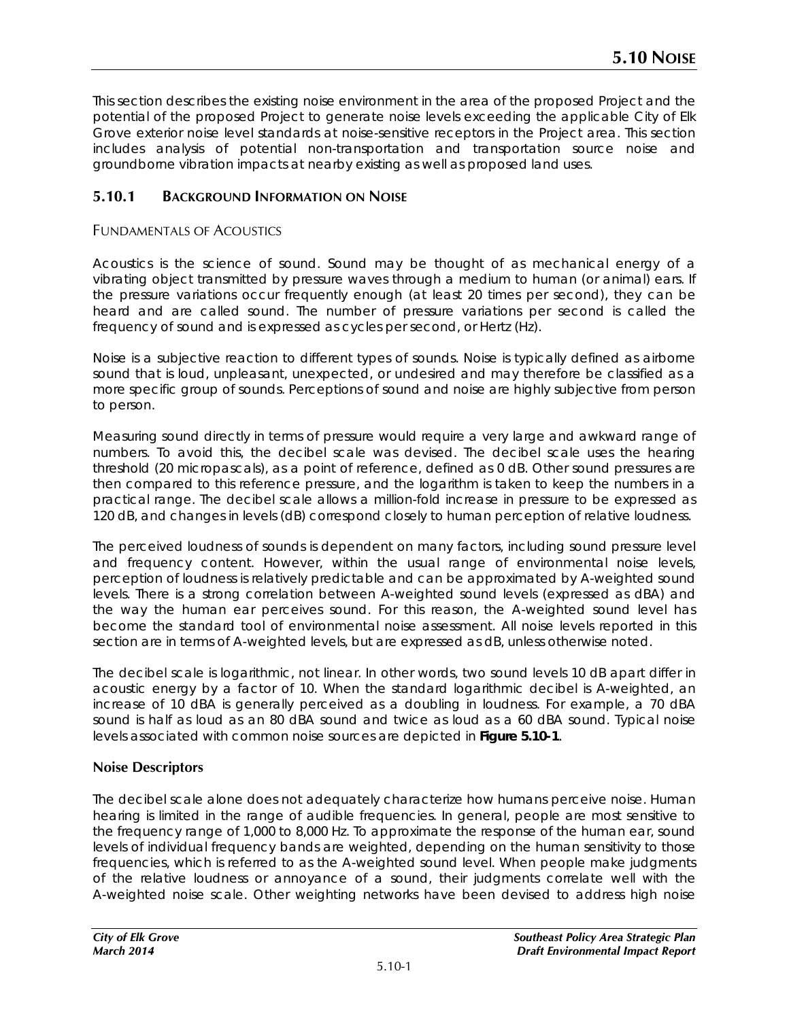This section describes the existing noise environment in the area of the proposed Project and the potential of the proposed Project to generate noise levels exceeding the applicable City of Elk Grove exterior noise level standards at noise-sensitive receptors in the Project area. This section includes analysis of potential non-transportation and transportation source noise and groundborne vibration impacts at nearby existing as well as proposed land uses.

# **5.10.1 BACKGROUND INFORMATION ON NOISE**

## FUNDAMENTALS OF ACOUSTICS

Acoustics is the science of sound. Sound may be thought of as mechanical energy of a vibrating object transmitted by pressure waves through a medium to human (or animal) ears. If the pressure variations occur frequently enough (at least 20 times per second), they can be heard and are called sound. The number of pressure variations per second is called the frequency of sound and is expressed as cycles per second, or Hertz (Hz).

Noise is a subjective reaction to different types of sounds. Noise is typically defined as airborne sound that is loud, unpleasant, unexpected, or undesired and may therefore be classified as a more specific group of sounds. Perceptions of sound and noise are highly subjective from person to person.

Measuring sound directly in terms of pressure would require a very large and awkward range of numbers. To avoid this, the decibel scale was devised. The decibel scale uses the hearing threshold (20 micropascals), as a point of reference, defined as 0 dB. Other sound pressures are then compared to this reference pressure, and the logarithm is taken to keep the numbers in a practical range. The decibel scale allows a million-fold increase in pressure to be expressed as 120 dB, and changes in levels (dB) correspond closely to human perception of relative loudness.

The perceived loudness of sounds is dependent on many factors, including sound pressure level and frequency content. However, within the usual range of environmental noise levels, perception of loudness is relatively predictable and can be approximated by A-weighted sound levels. There is a strong correlation between A-weighted sound levels (expressed as dBA) and the way the human ear perceives sound. For this reason, the A-weighted sound level has become the standard tool of environmental noise assessment. All noise levels reported in this section are in terms of A-weighted levels, but are expressed as dB, unless otherwise noted.

The decibel scale is logarithmic, not linear. In other words, two sound levels 10 dB apart differ in acoustic energy by a factor of 10. When the standard logarithmic decibel is A-weighted, an increase of 10 dBA is generally perceived as a doubling in loudness. For example, a 70 dBA sound is half as loud as an 80 dBA sound and twice as loud as a 60 dBA sound. Typical noise levels associated with common noise sources are depicted in **Figure 5.10-1**.

# **Noise Descriptors**

The decibel scale alone does not adequately characterize how humans perceive noise. Human hearing is limited in the range of audible frequencies. In general, people are most sensitive to the frequency range of 1,000 to 8,000 Hz. To approximate the response of the human ear, sound levels of individual frequency bands are weighted, depending on the human sensitivity to those frequencies, which is referred to as the A-weighted sound level. When people make judgments of the relative loudness or annoyance of a sound, their judgments correlate well with the A-weighted noise scale. Other weighting networks have been devised to address high noise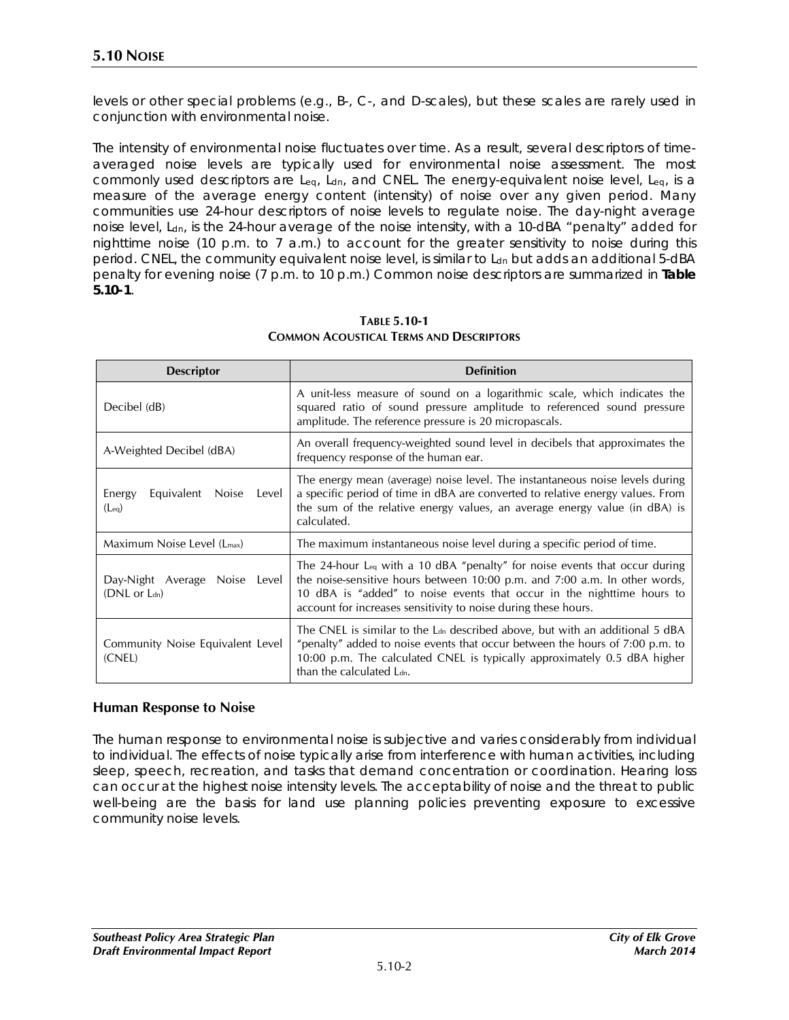levels or other special problems (e.g., B-, C-, and D-scales), but these scales are rarely used in conjunction with environmental noise.

The intensity of environmental noise fluctuates over time. As a result, several descriptors of timeaveraged noise levels are typically used for environmental noise assessment. The most commonly used descriptors are Leq, Ldn, and CNEL. The energy-equivalent noise level, Leq, is a measure of the average energy content (intensity) of noise over any given period. Many communities use 24-hour descriptors of noise levels to regulate noise. The day-night average noise level, L<sub>dn</sub>, is the 24-hour average of the noise intensity, with a 10-dBA "penalty" added for nighttime noise (10 p.m. to 7 a.m.) to account for the greater sensitivity to noise during this period. CNEL, the community equivalent noise level, is similar to L<sub>dn</sub> but adds an additional 5-dBA penalty for evening noise (7 p.m. to 10 p.m.) Common noise descriptors are summarized in **Table 5.10-1**.

| <b>Descriptor</b>                                 | <b>Definition</b>                                                                                                                                                                                                                                                                                                |
|---------------------------------------------------|------------------------------------------------------------------------------------------------------------------------------------------------------------------------------------------------------------------------------------------------------------------------------------------------------------------|
| Decibel (dB)                                      | A unit-less measure of sound on a logarithmic scale, which indicates the<br>squared ratio of sound pressure amplitude to referenced sound pressure<br>amplitude. The reference pressure is 20 micropascals.                                                                                                      |
| A-Weighted Decibel (dBA)                          | An overall frequency-weighted sound level in decibels that approximates the<br>frequency response of the human ear.                                                                                                                                                                                              |
| Energy<br>Equivalent Noise<br>Level<br>$(L_{eq})$ | The energy mean (average) noise level. The instantaneous noise levels during<br>a specific period of time in dBA are converted to relative energy values. From<br>the sum of the relative energy values, an average energy value (in dBA) is<br>calculated.                                                      |
| Maximum Noise Level (L <sub>max</sub> )           | The maximum instantaneous noise level during a specific period of time.                                                                                                                                                                                                                                          |
| Day-Night Average Noise Level<br>(DNL or Ldn)     | The 24-hour L <sub>eq</sub> with a 10 dBA "penalty" for noise events that occur during<br>the noise-sensitive hours between 10:00 p.m. and 7:00 a.m. In other words,<br>10 dBA is "added" to noise events that occur in the nighttime hours to<br>account for increases sensitivity to noise during these hours. |
| Community Noise Equivalent Level<br>(CNEL)        | The CNEL is similar to the L <sub>dn</sub> described above, but with an additional 5 dBA<br>"penalty" added to noise events that occur between the hours of 7:00 p.m. to<br>10:00 p.m. The calculated CNEL is typically approximately 0.5 dBA higher<br>than the calculated L <sub>dn</sub> .                    |

**TABLE 5.10-1 COMMON ACOUSTICAL TERMS AND DESCRIPTORS**

### **Human Response to Noise**

The human response to environmental noise is subjective and varies considerably from individual to individual. The effects of noise typically arise from interference with human activities, including sleep, speech, recreation, and tasks that demand concentration or coordination. Hearing loss can occur at the highest noise intensity levels. The acceptability of noise and the threat to public well-being are the basis for land use planning policies preventing exposure to excessive community noise levels.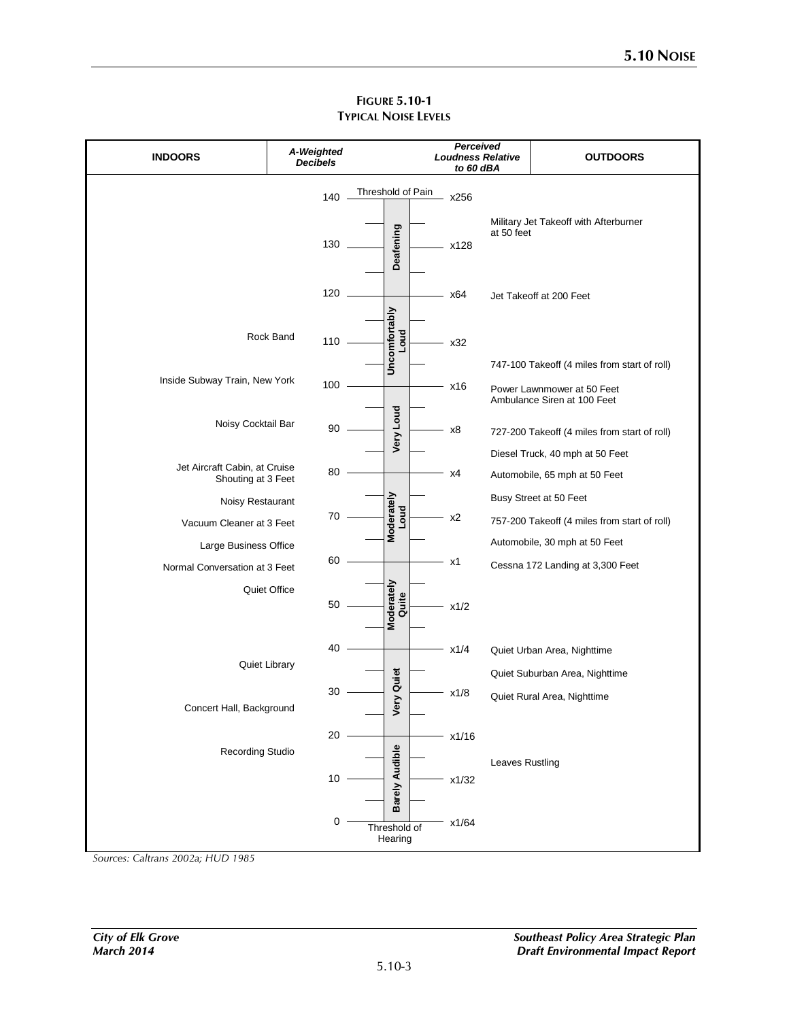| <b>INDOORS</b>                                         |              | A-Weighted<br><b>Decibels</b> |                   |                           |  |       | Perceived<br><b>Loudness Relative</b><br>to 60 dBA | <b>OUTDOORS</b>                                                                 |
|--------------------------------------------------------|--------------|-------------------------------|-------------------|---------------------------|--|-------|----------------------------------------------------|---------------------------------------------------------------------------------|
|                                                        |              | 140                           | Threshold of Pain |                           |  | x256  |                                                    |                                                                                 |
|                                                        |              | 130                           |                   | Deafening                 |  | x128  | at 50 feet                                         | Military Jet Takeoff with Afterburner                                           |
|                                                        |              | 120                           |                   |                           |  | x64   |                                                    | Jet Takeoff at 200 Feet                                                         |
|                                                        | Rock Band    | 110                           |                   | Uncomfortably<br>Loud     |  | x32   |                                                    | 747-100 Takeoff (4 miles from start of roll)                                    |
| Inside Subway Train, New York                          |              | 100                           |                   |                           |  | x16   |                                                    | Power Lawnmower at 50 Feet<br>Ambulance Siren at 100 Feet                       |
| Noisy Cocktail Bar                                     |              | 90                            |                   | Very Loud                 |  | x8    |                                                    | 727-200 Takeoff (4 miles from start of roll)<br>Diesel Truck, 40 mph at 50 Feet |
| Jet Aircraft Cabin, at Cruise<br>Shouting at 3 Feet    |              | 80                            |                   |                           |  | x4    |                                                    | Automobile, 65 mph at 50 Feet                                                   |
| Noisy Restaurant<br>Vacuum Cleaner at 3 Feet           |              | 70                            |                   | Moderately<br><b>Loud</b> |  | x2    |                                                    | Busy Street at 50 Feet<br>757-200 Takeoff (4 miles from start of roll)          |
| Large Business Office<br>Normal Conversation at 3 Feet |              | 60                            |                   |                           |  | x1    |                                                    | Automobile, 30 mph at 50 Feet<br>Cessna 172 Landing at 3,300 Feet               |
|                                                        | Quiet Office | 50                            |                   | Moderately<br>Quite       |  | x1/2  |                                                    |                                                                                 |
| Quiet Library                                          |              | 40                            |                   |                           |  | x1/4  |                                                    | Quiet Urban Area, Nighttime<br>Quiet Suburban Area, Nighttime                   |
| Concert Hall, Background                               |              | 30                            |                   | <b>Very Quiet</b>         |  | x1/8  |                                                    | Quiet Rural Area, Nighttime                                                     |
| Recording Studio                                       |              | $20\,$                        |                   |                           |  | x1/16 | Leaves Rustling                                    |                                                                                 |
|                                                        |              | $10\,$                        |                   | <b>Barely Audible</b>     |  | x1/32 |                                                    |                                                                                 |
|                                                        |              | 0                             |                   | Threshold of<br>Hearing   |  | x1/64 |                                                    |                                                                                 |

## **FIGURE 5.10-1 TYPICAL NOISE LEVELS**

*Sources: Caltrans 2002a; HUD 1985*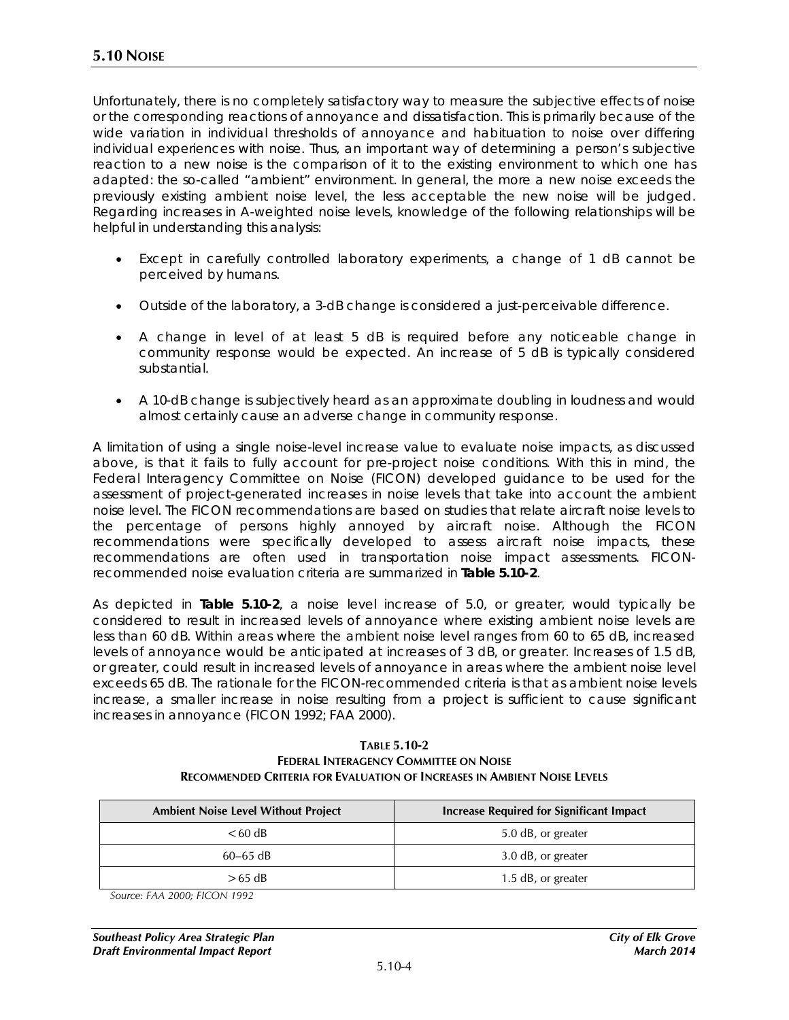Unfortunately, there is no completely satisfactory way to measure the subjective effects of noise or the corresponding reactions of annoyance and dissatisfaction. This is primarily because of the wide variation in individual thresholds of annoyance and habituation to noise over differing individual experiences with noise. Thus, an important way of determining a person's subjective reaction to a new noise is the comparison of it to the existing environment to which one has adapted: the so-called "ambient" environment. In general, the more a new noise exceeds the previously existing ambient noise level, the less acceptable the new noise will be judged. Regarding increases in A-weighted noise levels, knowledge of the following relationships will be helpful in understanding this analysis:

- Except in carefully controlled laboratory experiments, a change of 1 dB cannot be perceived by humans.
- Outside of the laboratory, a 3-dB change is considered a just-perceivable difference.
- A change in level of at least 5 dB is required before any noticeable change in community response would be expected. An increase of 5 dB is typically considered substantial.
- A 10-dB change is subjectively heard as an approximate doubling in loudness and would almost certainly cause an adverse change in community response.

A limitation of using a single noise-level increase value to evaluate noise impacts, as discussed above, is that it fails to fully account for pre-project noise conditions. With this in mind, the Federal Interagency Committee on Noise (FICON) developed guidance to be used for the assessment of project-generated increases in noise levels that take into account the ambient noise level. The FICON recommendations are based on studies that relate aircraft noise levels to the percentage of persons highly annoyed by aircraft noise. Although the FICON recommendations were specifically developed to assess aircraft noise impacts, these recommendations are often used in transportation noise impact assessments. FICONrecommended noise evaluation criteria are summarized in **Table 5.10-2**.

As depicted in **Table 5.10-2**, a noise level increase of 5.0, or greater, would typically be considered to result in increased levels of annoyance where existing ambient noise levels are less than 60 dB. Within areas where the ambient noise level ranges from 60 to 65 dB, increased levels of annoyance would be anticipated at increases of 3 dB, or greater. Increases of 1.5 dB, or greater, could result in increased levels of annoyance in areas where the ambient noise level exceeds 65 dB. The rationale for the FICON-recommended criteria is that as ambient noise levels increase, a smaller increase in noise resulting from a project is sufficient to cause significant increases in annoyance (FICON 1992; FAA 2000).

#### **TABLE 5.10-2 FEDERAL INTERAGENCY COMMITTEE ON NOISE RECOMMENDED CRITERIA FOR EVALUATION OF INCREASES IN AMBIENT NOISE LEVELS**

| <b>Ambient Noise Level Without Project</b> | <b>Increase Required for Significant Impact</b> |
|--------------------------------------------|-------------------------------------------------|
| $<60$ dB                                   | 5.0 dB, or greater                              |
| $60 - 65$ dB                               | 3.0 dB, or greater                              |
| $>65$ dB                                   | 1.5 dB, or greater                              |

*Source: FAA 2000; FICON 1992*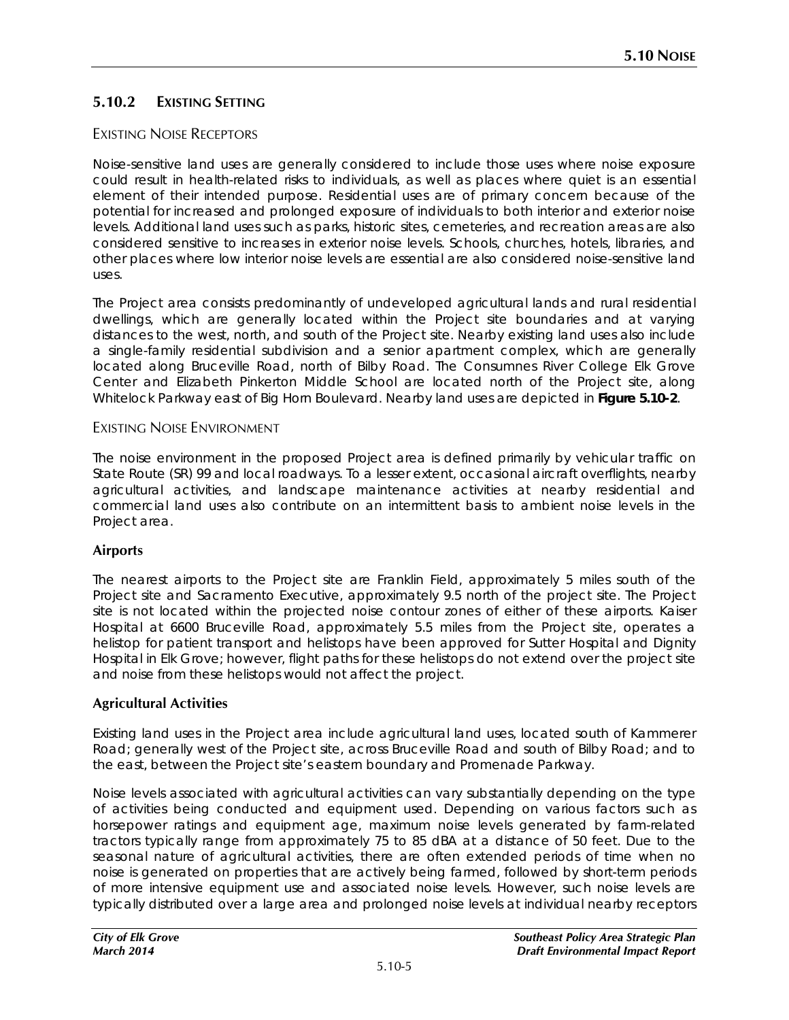# **5.10.2 EXISTING SETTING**

## EXISTING NOISE RECEPTORS

Noise-sensitive land uses are generally considered to include those uses where noise exposure could result in health-related risks to individuals, as well as places where quiet is an essential element of their intended purpose. Residential uses are of primary concern because of the potential for increased and prolonged exposure of individuals to both interior and exterior noise levels. Additional land uses such as parks, historic sites, cemeteries, and recreation areas are also considered sensitive to increases in exterior noise levels. Schools, churches, hotels, libraries, and other places where low interior noise levels are essential are also considered noise-sensitive land uses.

The Project area consists predominantly of undeveloped agricultural lands and rural residential dwellings, which are generally located within the Project site boundaries and at varying distances to the west, north, and south of the Project site. Nearby existing land uses also include a single-family residential subdivision and a senior apartment complex, which are generally located along Bruceville Road, north of Bilby Road. The Consumnes River College Elk Grove Center and Elizabeth Pinkerton Middle School are located north of the Project site, along Whitelock Parkway east of Big Horn Boulevard. Nearby land uses are depicted in **Figure 5.10-2**.

#### EXISTING NOISE ENVIRONMENT

The noise environment in the proposed Project area is defined primarily by vehicular traffic on State Route (SR) 99 and local roadways. To a lesser extent, occasional aircraft overflights, nearby agricultural activities, and landscape maintenance activities at nearby residential and commercial land uses also contribute on an intermittent basis to ambient noise levels in the Project area.

### **Airports**

The nearest airports to the Project site are Franklin Field, approximately 5 miles south of the Project site and Sacramento Executive, approximately 9.5 north of the project site. The Project site is not located within the projected noise contour zones of either of these airports. Kaiser Hospital at 6600 Bruceville Road, approximately 5.5 miles from the Project site, operates a helistop for patient transport and helistops have been approved for Sutter Hospital and Dignity Hospital in Elk Grove; however, flight paths for these helistops do not extend over the project site and noise from these helistops would not affect the project.

### **Agricultural Activities**

Existing land uses in the Project area include agricultural land uses, located south of Kammerer Road; generally west of the Project site, across Bruceville Road and south of Bilby Road; and to the east, between the Project site's eastern boundary and Promenade Parkway.

Noise levels associated with agricultural activities can vary substantially depending on the type of activities being conducted and equipment used. Depending on various factors such as horsepower ratings and equipment age, maximum noise levels generated by farm-related tractors typically range from approximately 75 to 85 dBA at a distance of 50 feet. Due to the seasonal nature of agricultural activities, there are often extended periods of time when no noise is generated on properties that are actively being farmed, followed by short-term periods of more intensive equipment use and associated noise levels. However, such noise levels are typically distributed over a large area and prolonged noise levels at individual nearby receptors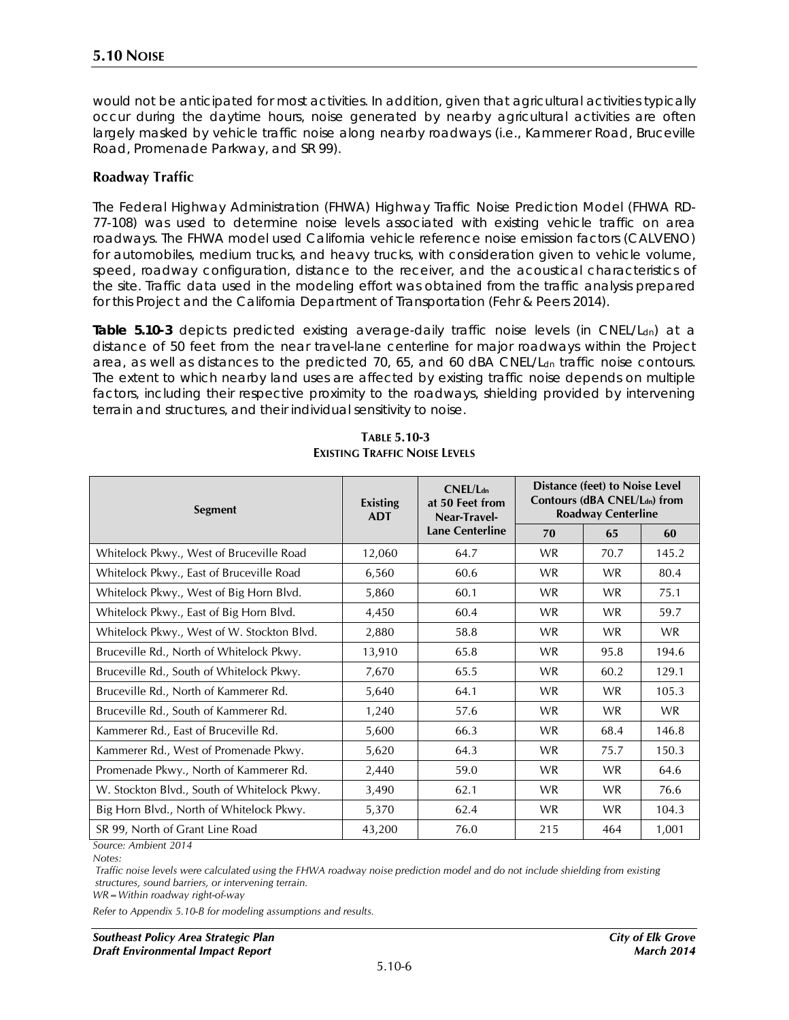would not be anticipated for most activities. In addition, given that agricultural activities typically occur during the daytime hours, noise generated by nearby agricultural activities are often largely masked by vehicle traffic noise along nearby roadways (i.e., Kammerer Road, Bruceville Road, Promenade Parkway, and SR 99).

#### **Roadway Traffic**

The Federal Highway Administration (FHWA) Highway Traffic Noise Prediction Model (FHWA RD-77-108) was used to determine noise levels associated with existing vehicle traffic on area roadways. The FHWA model used California vehicle reference noise emission factors (CALVENO) for automobiles, medium trucks, and heavy trucks, with consideration given to vehicle volume, speed, roadway configuration, distance to the receiver, and the acoustical characteristics of the site. Traffic data used in the modeling effort was obtained from the traffic analysis prepared for this Project and the California Department of Transportation (Fehr & Peers 2014).

Table 5.10-3 depicts predicted existing average-daily traffic noise levels (in CNEL/L<sub>dn</sub>) at a distance of 50 feet from the near travel-lane centerline for major roadways within the Project area, as well as distances to the predicted 70, 65, and 60 dBA CNEL/L<sub>dn</sub> traffic noise contours. The extent to which nearby land uses are affected by existing traffic noise depends on multiple factors, including their respective proximity to the roadways, shielding provided by intervening terrain and structures, and their individual sensitivity to noise.

| <b>Segment</b>                              | CNEL/L <sub>dn</sub><br>at 50 Feet from<br><b>Existing</b><br><b>ADT</b><br>Near-Travel- | Distance (feet) to Noise Level<br>Contours (dBA CNEL/Ldn) from<br><b>Roadway Centerline</b> |           |           |           |
|---------------------------------------------|------------------------------------------------------------------------------------------|---------------------------------------------------------------------------------------------|-----------|-----------|-----------|
|                                             |                                                                                          | <b>Lane Centerline</b>                                                                      | 70        | 65        | 60        |
| Whitelock Pkwy., West of Bruceville Road    | 12,060                                                                                   | 64.7                                                                                        | <b>WR</b> | 70.7      | 145.2     |
| Whitelock Pkwy., East of Bruceville Road    | 6,560                                                                                    | 60.6                                                                                        | <b>WR</b> | <b>WR</b> | 80.4      |
| Whitelock Pkwy., West of Big Horn Blvd.     | 5,860                                                                                    | 60.1                                                                                        | <b>WR</b> | <b>WR</b> | 75.1      |
| Whitelock Pkwy., East of Big Horn Blvd.     | 4,450                                                                                    | 60.4                                                                                        | <b>WR</b> | <b>WR</b> | 59.7      |
| Whitelock Pkwy., West of W. Stockton Blvd.  | 2,880                                                                                    | 58.8                                                                                        | <b>WR</b> | <b>WR</b> | <b>WR</b> |
| Bruceville Rd., North of Whitelock Pkwy.    | 13,910                                                                                   | 65.8                                                                                        | <b>WR</b> | 95.8      | 194.6     |
| Bruceville Rd., South of Whitelock Pkwy.    | 7,670                                                                                    | 65.5                                                                                        | <b>WR</b> | 60.2      | 129.1     |
| Bruceville Rd., North of Kammerer Rd.       | 5,640                                                                                    | 64.1                                                                                        | <b>WR</b> | <b>WR</b> | 105.3     |
| Bruceville Rd., South of Kammerer Rd.       | 1,240                                                                                    | 57.6                                                                                        | <b>WR</b> | <b>WR</b> | <b>WR</b> |
| Kammerer Rd., East of Bruceville Rd.        | 5,600                                                                                    | 66.3                                                                                        | <b>WR</b> | 68.4      | 146.8     |
| Kammerer Rd., West of Promenade Pkwy.       | 5,620                                                                                    | 64.3                                                                                        | <b>WR</b> | 75.7      | 150.3     |
| Promenade Pkwy., North of Kammerer Rd.      | 2,440                                                                                    | 59.0                                                                                        | <b>WR</b> | <b>WR</b> | 64.6      |
| W. Stockton Blvd., South of Whitelock Pkwy. | 3,490                                                                                    | 62.1                                                                                        | <b>WR</b> | <b>WR</b> | 76.6      |
| Big Horn Blvd., North of Whitelock Pkwy.    | 5,370                                                                                    | 62.4                                                                                        | WR.       | <b>WR</b> | 104.3     |
| SR 99, North of Grant Line Road             | 43,200                                                                                   | 76.0                                                                                        | 215       | 464       | 1,001     |

#### **TABLE 5.10-3 EXISTING TRAFFIC NOISE LEVELS**

*Source: Ambient 2014 Notes:*

*Traffic noise levels were calculated using the FHWA roadway noise prediction model and do not include shielding from existing structures, sound barriers, or intervening terrain.*

*WR=Within roadway right-of-way*

*Refer to Appendix 5.10-B for modeling assumptions and results.*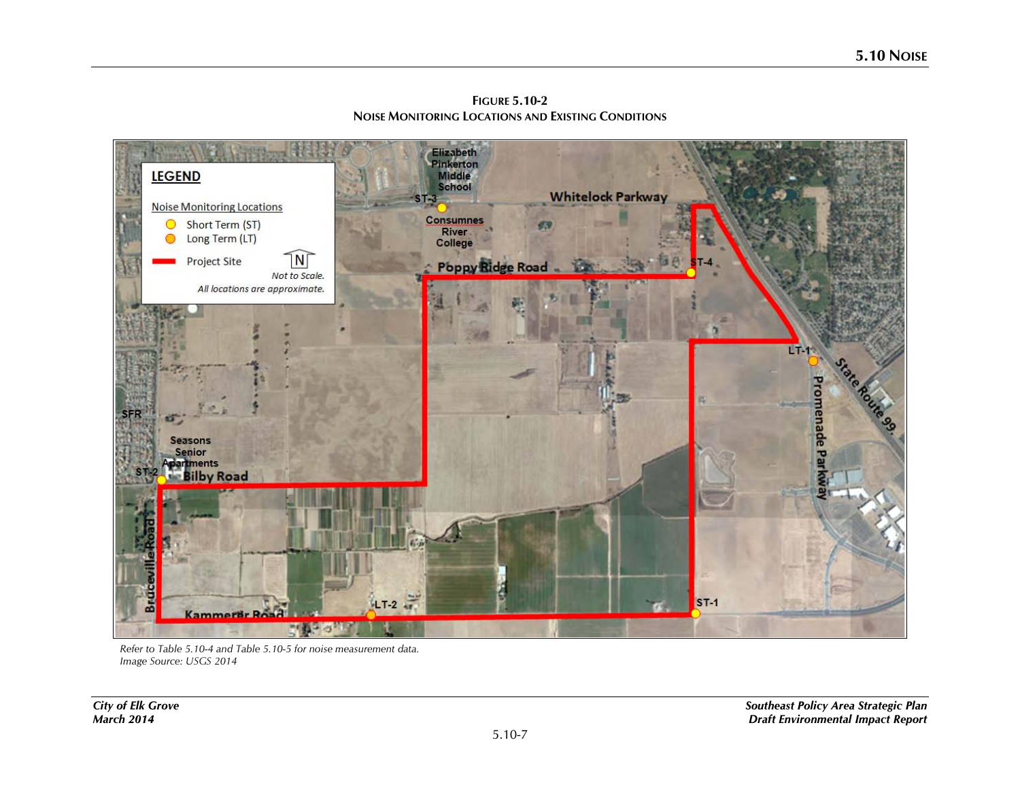Elizabeth<br>Pinkerton<br>Middle<br>School **LEGEND Whitelock Parkway Noise Monitoring Locations** Consumnes<br>River<br>College Short Term (ST) Long Term (LT) ◯  $\sqrt{\mathsf{N}\mathsf{N}}$ **Project Site Poppy Ridge Road** Not to Scale. All locations are approximate. **LT r** Promenade P. Seasons Senior<br>partments **Silby Road** ā **Bruc**  $LT-2$  $ST-1$ Kammerår Road  $-3$ 

**FIGURE 5.10-2 NOISE MONITORING LOCATIONS AND EXISTING CONDITIONS**

*Refer to Table 5.10-4 and Table 5.10-5 for noise measurement data. Image Source: USGS 2014*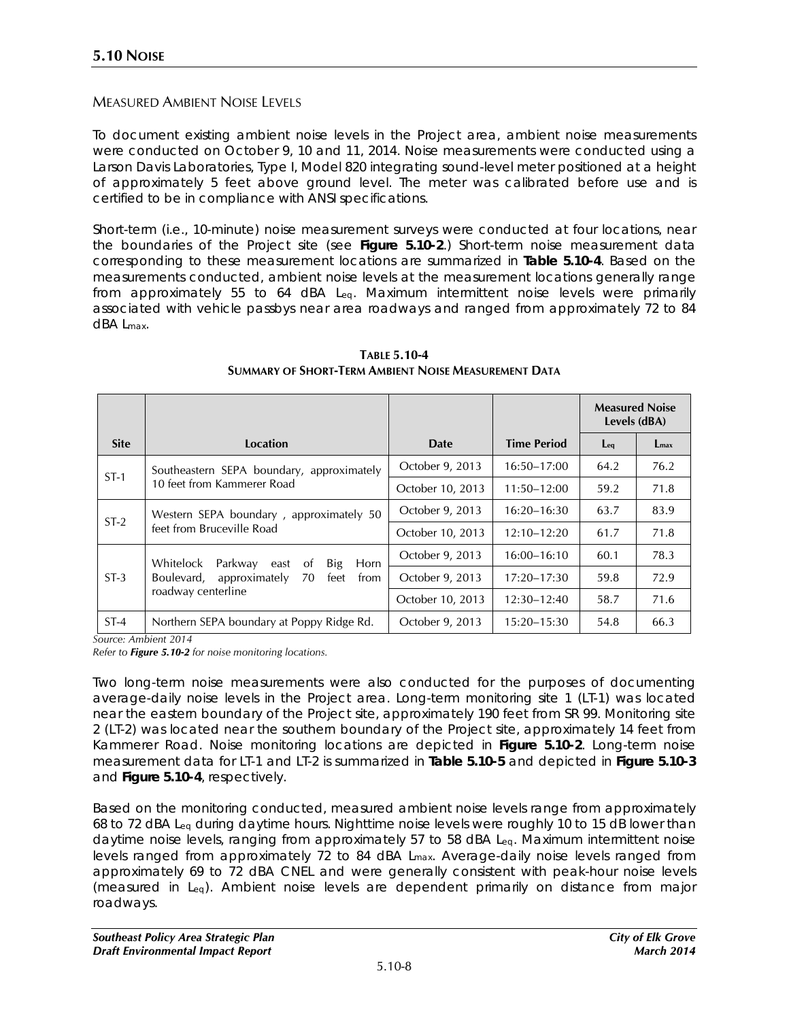## MEASURED AMBIENT NOISE LEVELS

To document existing ambient noise levels in the Project area, ambient noise measurements were conducted on October 9, 10 and 11, 2014. Noise measurements were conducted using a Larson Davis Laboratories, Type I, Model 820 integrating sound-level meter positioned at a height of approximately 5 feet above ground level. The meter was calibrated before use and is certified to be in compliance with ANSI specifications.

Short-term (i.e., 10-minute) noise measurement surveys were conducted at four locations, near the boundaries of the Project site (see **Figure 5.10-2**.) Short-term noise measurement data corresponding to these measurement locations are summarized in **Table 5.10-4**. Based on the measurements conducted, ambient noise levels at the measurement locations generally range from approximately 55 to 64 dBA Leq. Maximum intermittent noise levels were primarily associated with vehicle passbys near area roadways and ranged from approximately 72 to 84 dBA Lmax.

|                                     |                                                              |                  |                    | <b>Measured Noise</b><br>Levels (dBA) |               |
|-------------------------------------|--------------------------------------------------------------|------------------|--------------------|---------------------------------------|---------------|
| <b>Site</b>                         | Location                                                     | Date             | <b>Time Period</b> | $eq$                                  | $L_{\rm max}$ |
| $ST-1$                              | Southeastern SEPA boundary, approximately                    | October 9, 2013  | $16:50 - 17:00$    | 64.2                                  | 76.2          |
| 10 feet from Kammerer Road          |                                                              | October 10, 2013 | $11:50 - 12:00$    | 59.2                                  | 71.8          |
|                                     | Western SEPA boundary, approximately 50                      | October 9, 2013  | $16:20 - 16:30$    | 63.7                                  | 83.9          |
| $ST-2$<br>feet from Bruceville Road |                                                              | October 10, 2013 | $12:10 - 12:20$    | 61.7                                  | 71.8          |
|                                     | Whitelock<br>Parkway<br><sub>of</sub><br>Big<br>Horn<br>east | October 9, 2013  | $16:00 - 16:10$    | 60.1                                  | 78.3          |
| $ST-3$                              | approximately<br>Boulevard,<br>70<br>feet<br>from            | October 9, 2013  | $17:20 - 17:30$    | 59.8                                  | 72.9          |
|                                     | roadway centerline                                           | October 10, 2013 | $12:30 - 12:40$    | 58.7                                  | 71.6          |
| $ST-4$                              | Northern SEPA boundary at Poppy Ridge Rd.                    | October 9, 2013  | 15:20–15:30        | 54.8                                  | 66.3          |

**TABLE 5.10-4 SUMMARY OF SHORT-TERM AMBIENT NOISE MEASUREMENT DATA**

*Source: Ambient 2014*

*Refer to Figure 5.10-2 for noise monitoring locations.*

Two long-term noise measurements were also conducted for the purposes of documenting average-daily noise levels in the Project area. Long-term monitoring site 1 (LT-1) was located near the eastern boundary of the Project site, approximately 190 feet from SR 99. Monitoring site 2 (LT-2) was located near the southern boundary of the Project site, approximately 14 feet from Kammerer Road. Noise monitoring locations are depicted in **Figure 5.10-2**. Long-term noise measurement data for LT-1 and LT-2 is summarized in **Table 5.10-5** and depicted in **Figure 5.10-3** and **Figure 5.10-4**, respectively.

Based on the monitoring conducted, measured ambient noise levels range from approximately 68 to 72 dBA Leq during daytime hours. Nighttime noise levels were roughly 10 to 15 dB lower than daytime noise levels, ranging from approximately 57 to 58 dBA Leq. Maximum intermittent noise levels ranged from approximately 72 to 84 dBA Lmax. Average-daily noise levels ranged from approximately 69 to 72 dBA CNEL and were generally consistent with peak-hour noise levels (measured in Leq). Ambient noise levels are dependent primarily on distance from major roadways.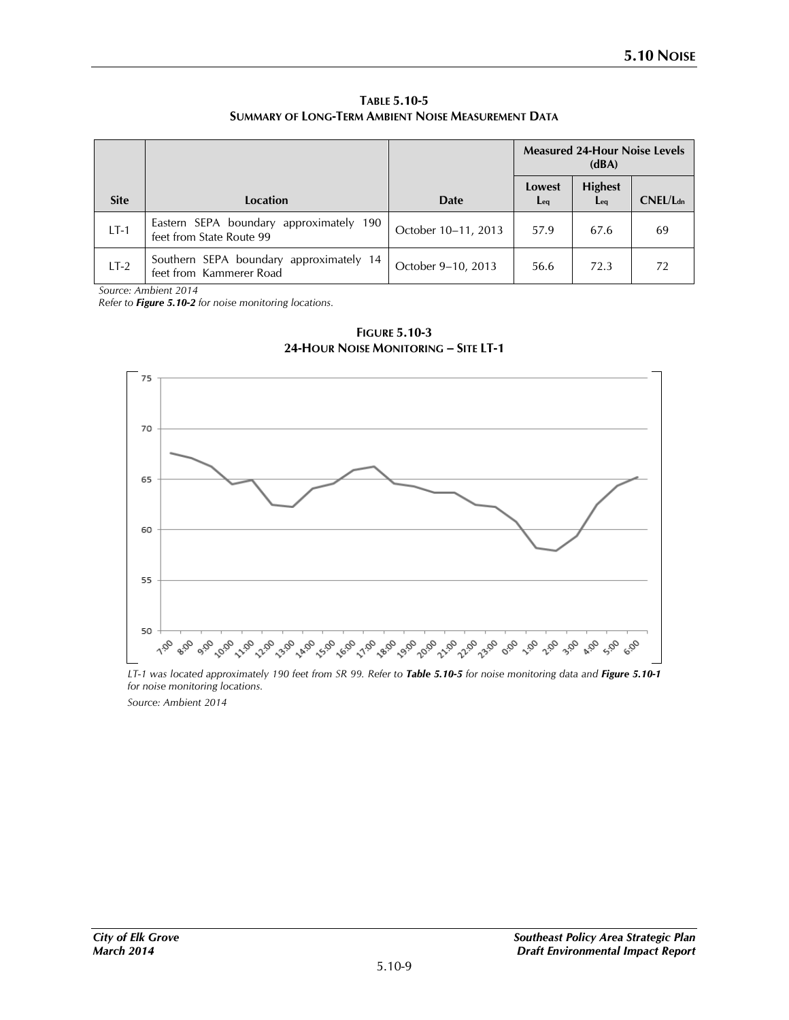**TABLE 5.10-5 SUMMARY OF LONG-TERM AMBIENT NOISE MEASUREMENT DATA**

|             |                                                                     |                     | <b>Measured 24-Hour Noise Levels</b><br>(dBA) |                        |                      |
|-------------|---------------------------------------------------------------------|---------------------|-----------------------------------------------|------------------------|----------------------|
| <b>Site</b> | Location                                                            | <b>Date</b>         | Lowest<br>$eq$                                | <b>Highest</b><br>$Eq$ | CNEL/L <sub>dn</sub> |
| $LT-1$      | Eastern SEPA boundary approximately 190<br>feet from State Route 99 | October 10-11, 2013 | 57.9                                          | 67.6                   | 69                   |
| $LT-2$      | Southern SEPA boundary approximately 14<br>feet from Kammerer Road  | October 9-10, 2013  | 56.6                                          | 72.3                   | 72                   |

*Source: Ambient 2014*

*Refer to Figure 5.10-2 for noise monitoring locations.*



**FIGURE 5.10-3 24-HOUR NOISE MONITORING – SITE LT-1**

*LT-1 was located approximately 190 feet from SR 99. Refer to Table 5.10-5 for noise monitoring data and Figure 5.10-1 for noise monitoring locations. Source: Ambient 2014*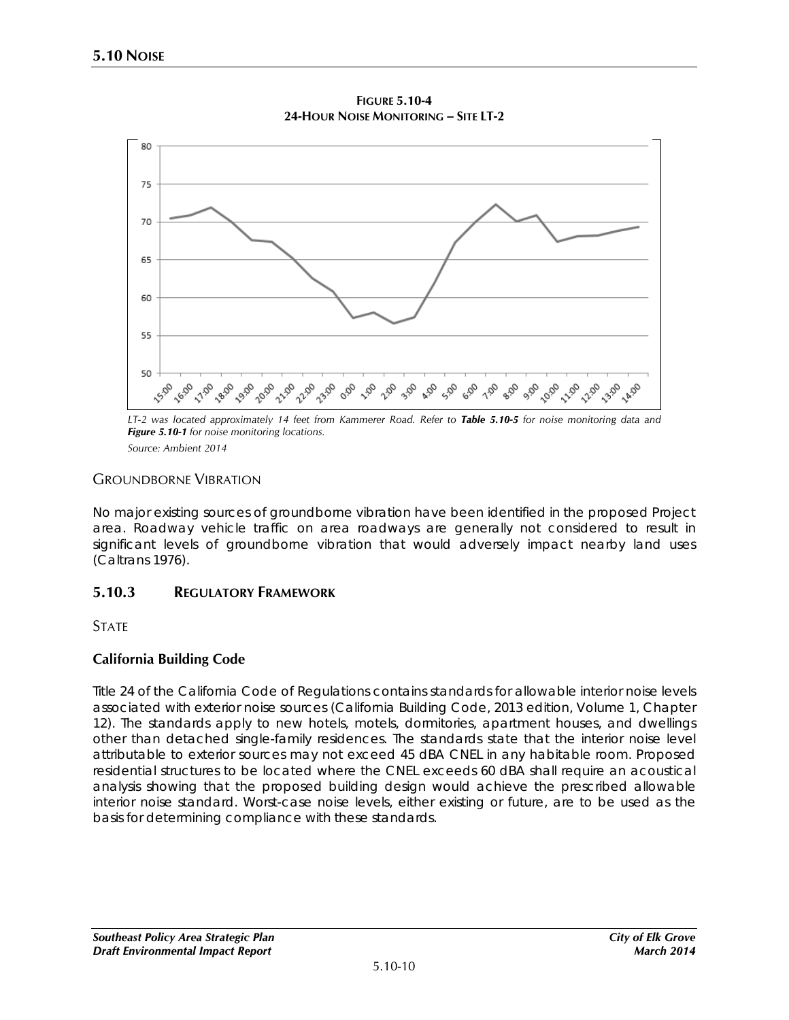

**FIGURE 5.10-4 24-HOUR NOISE MONITORING – SITE LT-2**

*LT-2 was located approximately 14 feet from Kammerer Road. Refer to Table 5.10-5 for noise monitoring data and Figure 5.10-1 for noise monitoring locations.*

*Source: Ambient 2014*

## GROUNDBORNE VIBRATION

No major existing sources of groundborne vibration have been identified in the proposed Project area. Roadway vehicle traffic on area roadways are generally not considered to result in significant levels of groundborne vibration that would adversely impact nearby land uses (Caltrans 1976).

# **5.10.3 REGULATORY FRAMEWORK**

**STATE** 

# **California Building Code**

Title 24 of the California Code of Regulations contains standards for allowable interior noise levels associated with exterior noise sources (California Building Code, 2013 edition, Volume 1, Chapter 12). The standards apply to new hotels, motels, dormitories, apartment houses, and dwellings other than detached single-family residences. The standards state that the interior noise level attributable to exterior sources may not exceed 45 dBA CNEL in any habitable room. Proposed residential structures to be located where the CNEL exceeds 60 dBA shall require an acoustical analysis showing that the proposed building design would achieve the prescribed allowable interior noise standard. Worst-case noise levels, either existing or future, are to be used as the basis for determining compliance with these standards.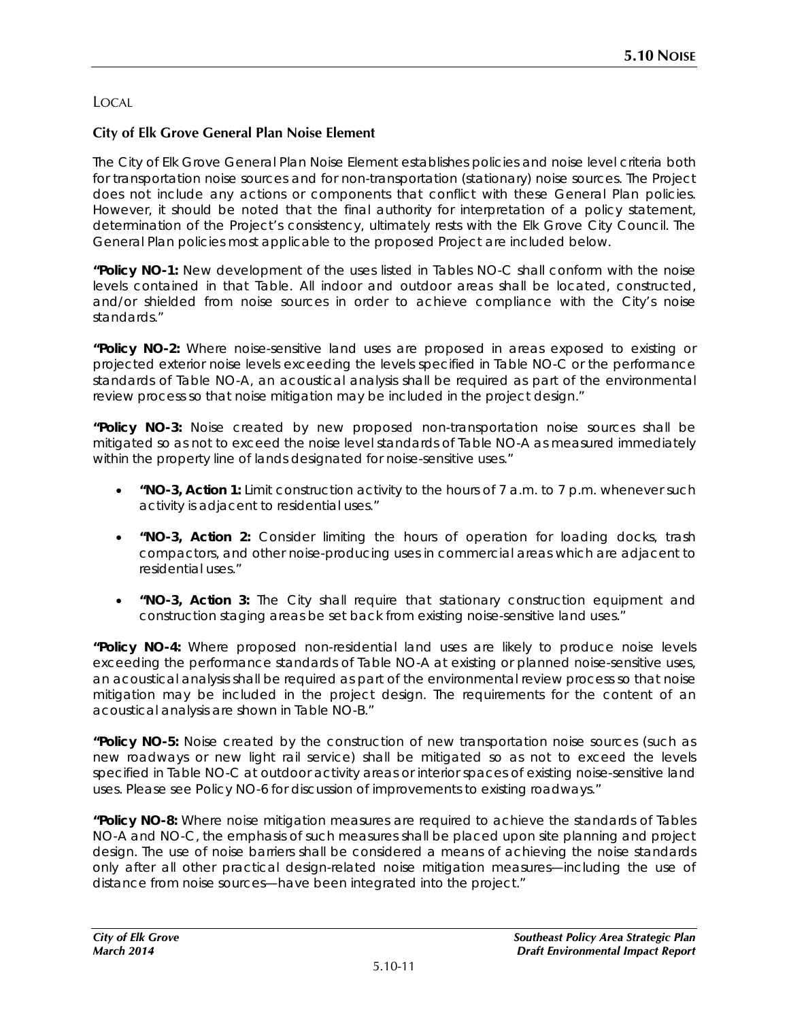# LOCAL

## **City of Elk Grove General Plan Noise Element**

The City of Elk Grove General Plan Noise Element establishes policies and noise level criteria both for transportation noise sources and for non-transportation (stationary) noise sources. The Project does not include any actions or components that conflict with these General Plan policies. However, it should be noted that the final authority for interpretation of a policy statement, determination of the Project's consistency, ultimately rests with the Elk Grove City Council. The General Plan policies most applicable to the proposed Project are included below.

**"Policy NO-1:** New development of the uses listed in Tables NO-C shall conform with the noise levels contained in that Table. All indoor and outdoor areas shall be located, constructed, and/or shielded from noise sources in order to achieve compliance with the City's noise standards."

**"Policy NO-2:** Where noise-sensitive land uses are proposed in areas exposed to existing or projected exterior noise levels exceeding the levels specified in Table NO-C or the performance standards of Table NO-A, an acoustical analysis shall be required as part of the environmental review process so that noise mitigation may be included in the project design."

**"Policy NO-3:** Noise created by new proposed non-transportation noise sources shall be mitigated so as not to exceed the noise level standards of Table NO-A as measured immediately within the property line of lands designated for noise-sensitive uses."

- **"NO-3, Action 1:** Limit construction activity to the hours of 7 a.m. to 7 p.m. whenever such activity is adjacent to residential uses."
- **"NO-3, Action 2:** Consider limiting the hours of operation for loading docks, trash compactors, and other noise-producing uses in commercial areas which are adjacent to residential uses."
- **"NO-3, Action 3:** The City shall require that stationary construction equipment and construction staging areas be set back from existing noise-sensitive land uses."

**"Policy NO-4:** Where proposed non-residential land uses are likely to produce noise levels exceeding the performance standards of Table NO-A at existing or planned noise-sensitive uses, an acoustical analysis shall be required as part of the environmental review process so that noise mitigation may be included in the project design. The requirements for the content of an acoustical analysis are shown in Table NO-B."

**"Policy NO-5:** Noise created by the construction of new transportation noise sources (such as new roadways or new light rail service) shall be mitigated so as not to exceed the levels specified in Table NO-C at outdoor activity areas or interior spaces of existing noise-sensitive land uses. Please see Policy NO-6 for discussion of improvements to existing roadways."

**"Policy NO-8:** Where noise mitigation measures are required to achieve the standards of Tables NO-A and NO-C, the emphasis of such measures shall be placed upon site planning and project design. The use of noise barriers shall be considered a means of achieving the noise standards only after all other practical design-related noise mitigation measures—including the use of distance from noise sources—have been integrated into the project."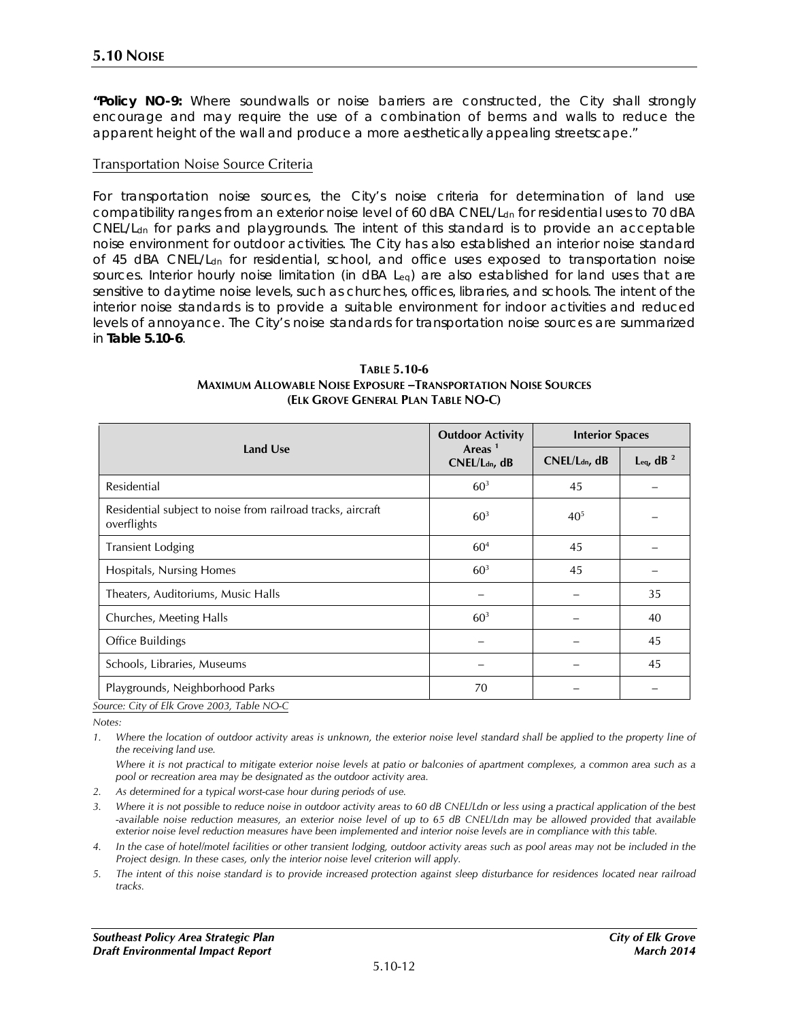**"Policy NO-9:** Where soundwalls or noise barriers are constructed, the City shall strongly encourage and may require the use of a combination of berms and walls to reduce the apparent height of the wall and produce a more aesthetically appealing streetscape."

#### Transportation Noise Source Criteria

For transportation noise sources, the City's noise criteria for determination of land use compatibility ranges from an exterior noise level of 60 dBA CNEL/L<sub>dn</sub> for residential uses to 70 dBA CNEL/Ldn for parks and playgrounds. The intent of this standard is to provide an acceptable noise environment for outdoor activities. The City has also established an interior noise standard of 45 dBA CNEL/Ldn for residential, school, and office uses exposed to transportation noise sources. Interior hourly noise limitation (in dBA Leq) are also established for land uses that are sensitive to daytime noise levels, such as churches, offices, libraries, and schools. The intent of the interior noise standards is to provide a suitable environment for indoor activities and reduced levels of annoyance. The City's noise standards for transportation noise sources are summarized in **Table 5.10-6**.

|                                                                                                                                                                                                                                                                                                                                                                                                                                                       | <b>Outdoor Activity</b>                         | <b>Interior Spaces</b>    |              |  |
|-------------------------------------------------------------------------------------------------------------------------------------------------------------------------------------------------------------------------------------------------------------------------------------------------------------------------------------------------------------------------------------------------------------------------------------------------------|-------------------------------------------------|---------------------------|--------------|--|
| Land Use                                                                                                                                                                                                                                                                                                                                                                                                                                              | Areas <sup><math>1</math></sup><br>CNEL/Ldn, dB | CNEL/L <sub>dn</sub> , dB | Leq, dB $^2$ |  |
| Residential                                                                                                                                                                                                                                                                                                                                                                                                                                           | 60 <sup>3</sup>                                 | 45                        |              |  |
| Residential subject to noise from railroad tracks, aircraft<br>overflights                                                                                                                                                                                                                                                                                                                                                                            | 60 <sup>3</sup>                                 | $40^{5}$                  |              |  |
| <b>Transient Lodging</b>                                                                                                                                                                                                                                                                                                                                                                                                                              | 60 <sup>4</sup>                                 | 45                        |              |  |
| Hospitals, Nursing Homes                                                                                                                                                                                                                                                                                                                                                                                                                              | 60 <sup>3</sup>                                 | 45                        |              |  |
| Theaters, Auditoriums, Music Halls                                                                                                                                                                                                                                                                                                                                                                                                                    |                                                 |                           | 35           |  |
| Churches, Meeting Halls                                                                                                                                                                                                                                                                                                                                                                                                                               | 60 <sup>3</sup>                                 |                           | 40           |  |
| Office Buildings                                                                                                                                                                                                                                                                                                                                                                                                                                      |                                                 |                           | 45           |  |
| Schools, Libraries, Museums                                                                                                                                                                                                                                                                                                                                                                                                                           |                                                 |                           | 45           |  |
| Playgrounds, Neighborhood Parks<br>$\alpha$ , $\beta$ = $\beta$ , $\alpha$ , $\alpha$ , $\alpha$ , $\alpha$ , $\alpha$ , $\alpha$ , $\alpha$ , $\alpha$ , $\alpha$ , $\alpha$ , $\alpha$ , $\alpha$ , $\alpha$ , $\alpha$ , $\alpha$ , $\alpha$ , $\alpha$ , $\alpha$ , $\alpha$ , $\alpha$ , $\alpha$ , $\alpha$ , $\alpha$ , $\alpha$ , $\alpha$ , $\alpha$ , $\alpha$ , $\alpha$ , $\alpha$ , $\alpha$ , $\alpha$ , $\alpha$ , $\alpha$ , $\alpha$ | 70                                              |                           |              |  |

#### **TABLE 5.10-6 MAXIMUM ALLOWABLE NOISE EXPOSURE –TRANSPORTATION NOISE SOURCES (ELK GROVE GENERAL PLAN TABLE NO-C)**

*Source: City of Elk Grove 2003, Table NO-C*

*Notes:*

1. Where the location of outdoor activity areas is unknown, the exterior noise level standard shall be applied to the property line of *the receiving land use.* 

*Where it is not practical to mitigate exterior noise levels at patio or balconies of apartment complexes, a common area such as a pool or recreation area may be designated as the outdoor activity area.* 

- *2. As determined for a typical worst-case hour during periods of use.*
- *3. Where it is not possible to reduce noise in outdoor activity areas to 60 dB CNEL/Ldn or less using a practical application of the best -available noise reduction measures, an exterior noise level of up to 65 dB CNEL/Ldn may be allowed provided that available exterior noise level reduction measures have been implemented and interior noise levels are in compliance with this table.*
- *4. In the case of hotel/motel facilities or other transient lodging, outdoor activity areas such as pool areas may not be included in the Project design. In these cases, only the interior noise level criterion will apply.*
- *5. The intent of this noise standard is to provide increased protection against sleep disturbance for residences located near railroad tracks.*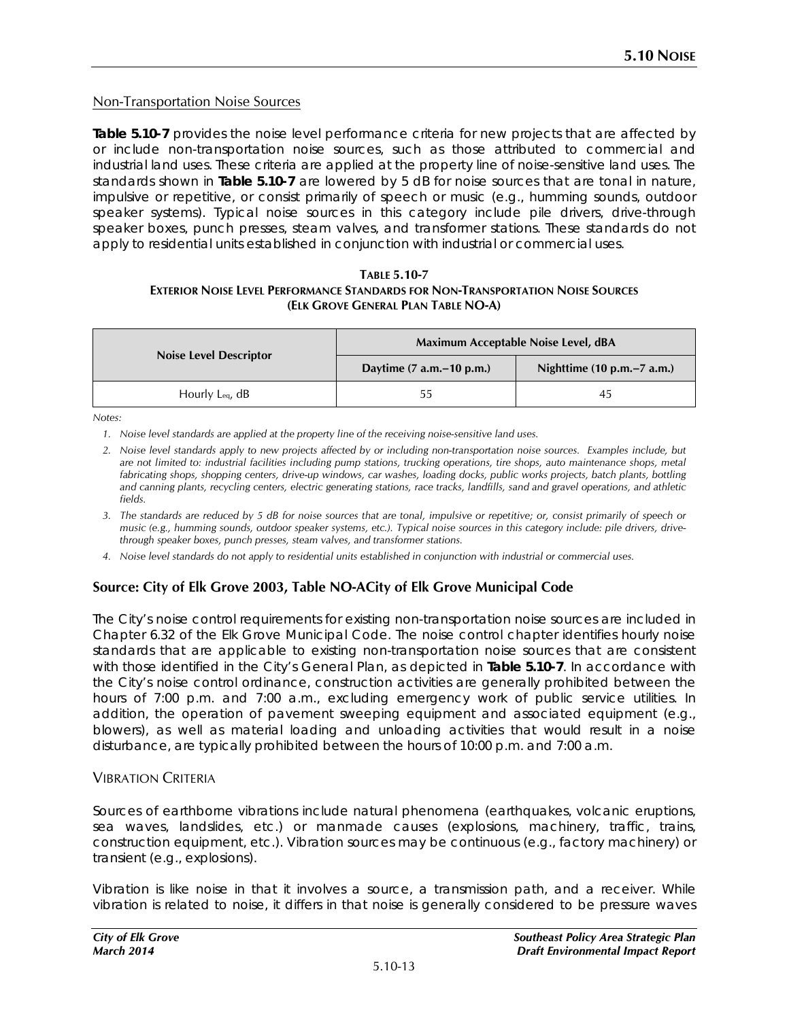### Non-Transportation Noise Sources

**Table 5.10-7** provides the noise level performance criteria for new projects that are affected by or include non-transportation noise sources, such as those attributed to commercial and industrial land uses. These criteria are applied at the property line of noise-sensitive land uses. The standards shown in **Table 5.10-7** are lowered by 5 dB for noise sources that are tonal in nature, impulsive or repetitive, or consist primarily of speech or music (e.g., humming sounds, outdoor speaker systems). Typical noise sources in this category include pile drivers, drive-through speaker boxes, punch presses, steam valves, and transformer stations. These standards do not apply to residential units established in conjunction with industrial or commercial uses.

#### **TABLE 5.10-7 EXTERIOR NOISE LEVEL PERFORMANCE STANDARDS FOR NON-TRANSPORTATION NOISE SOURCES (ELK GROVE GENERAL PLAN TABLE NO-A)**

|                               | Maximum Acceptable Noise Level, dBA |                                                |  |  |
|-------------------------------|-------------------------------------|------------------------------------------------|--|--|
| <b>Noise Level Descriptor</b> | Daytime $(7 a.m.-10 p.m.)$          | Nighttime $(10 \text{ p.m.} - 7 \text{ a.m.})$ |  |  |
| Hourly Leq. $dB$              | 55                                  | 45                                             |  |  |

*Notes:* 

*1. Noise level standards are applied at the property line of the receiving noise-sensitive land uses.*

- *2. Noise level standards apply to new projects affected by or including non-transportation noise sources. Examples include, but*  are not limited to: industrial facilities including pump stations, trucking operations, tire shops, auto maintenance shops, metal *fabricating shops, shopping centers, drive-up windows, car washes, loading docks, public works projects, batch plants, bottling and canning plants, recycling centers, electric generating stations, race tracks, landfills, sand and gravel operations, and athletic fields.*
- *3. The standards are reduced by 5 dB for noise sources that are tonal, impulsive or repetitive; or, consist primarily of speech or music (e.g., humming sounds, outdoor speaker systems, etc.). Typical noise sources in this category include: pile drivers, drivethrough speaker boxes, punch presses, steam valves, and transformer stations.*
- *4. Noise level standards do not apply to residential units established in conjunction with industrial or commercial uses.*

### **Source: City of Elk Grove 2003, Table NO-ACity of Elk Grove Municipal Code**

The City's noise control requirements for existing non-transportation noise sources are included in Chapter 6.32 of the Elk Grove Municipal Code. The noise control chapter identifies hourly noise standards that are applicable to existing non-transportation noise sources that are consistent with those identified in the City's General Plan, as depicted in **Table 5.10-7**. In accordance with the City's noise control ordinance, construction activities are generally prohibited between the hours of 7:00 p.m. and 7:00 a.m., excluding emergency work of public service utilities. In addition, the operation of pavement sweeping equipment and associated equipment (e.g., blowers), as well as material loading and unloading activities that would result in a noise disturbance, are typically prohibited between the hours of 10:00 p.m. and 7:00 a.m.

### VIBRATION CRITERIA

Sources of earthborne vibrations include natural phenomena (earthquakes, volcanic eruptions, sea waves, landslides, etc.) or manmade causes (explosions, machinery, traffic, trains, construction equipment, etc.). Vibration sources may be continuous (e.g., factory machinery) or transient (e.g., explosions).

Vibration is like noise in that it involves a source, a transmission path, and a receiver. While vibration is related to noise, it differs in that noise is generally considered to be pressure waves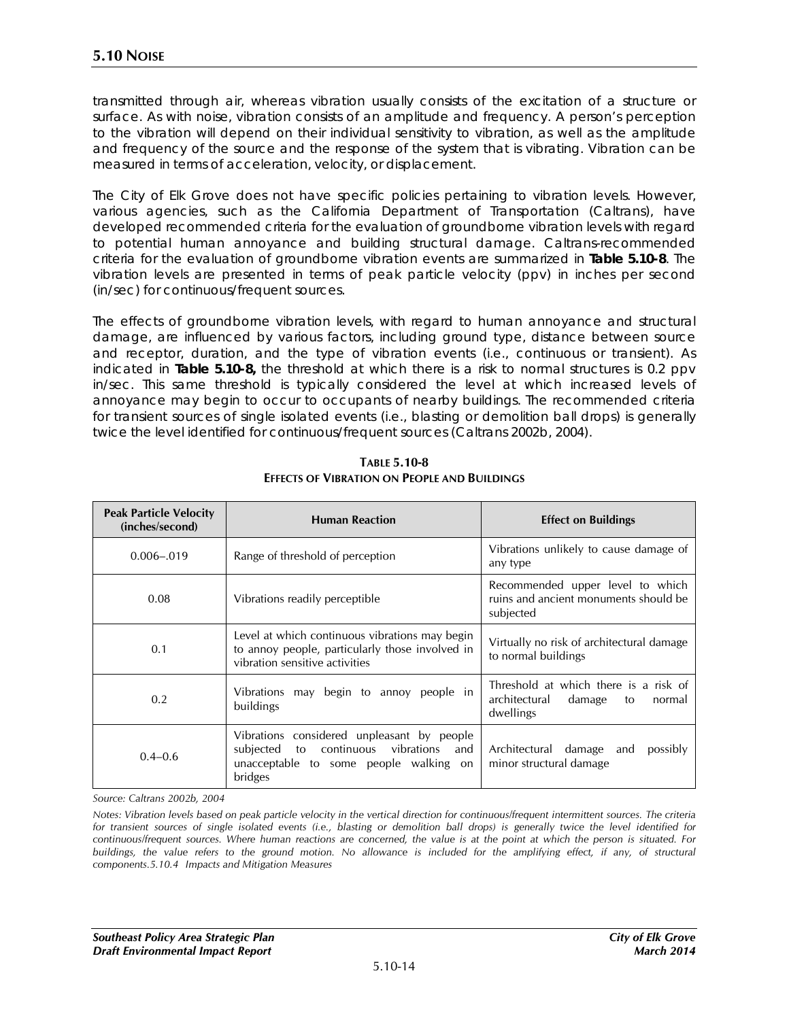transmitted through air, whereas vibration usually consists of the excitation of a structure or surface. As with noise, vibration consists of an amplitude and frequency. A person's perception to the vibration will depend on their individual sensitivity to vibration, as well as the amplitude and frequency of the source and the response of the system that is vibrating. Vibration can be measured in terms of acceleration, velocity, or displacement.

The City of Elk Grove does not have specific policies pertaining to vibration levels. However, various agencies, such as the California Department of Transportation (Caltrans), have developed recommended criteria for the evaluation of groundborne vibration levels with regard to potential human annoyance and building structural damage. Caltrans-recommended criteria for the evaluation of groundborne vibration events are summarized in **Table 5.10-8**. The vibration levels are presented in terms of peak particle velocity (ppv) in inches per second (in/sec) for continuous/frequent sources.

The effects of groundborne vibration levels, with regard to human annoyance and structural damage, are influenced by various factors, including ground type, distance between source and receptor, duration, and the type of vibration events (i.e., continuous or transient). As indicated in **Table 5.10-8,** the threshold at which there is a risk to normal structures is 0.2 ppv in/sec. This same threshold is typically considered the level at which increased levels of annoyance may begin to occur to occupants of nearby buildings. The recommended criteria for transient sources of single isolated events (i.e., blasting or demolition ball drops) is generally twice the level identified for continuous/frequent sources (Caltrans 2002b, 2004).

| <b>Peak Particle Velocity</b><br>(inches/second) | <b>Human Reaction</b>                                                                                                                              | <b>Effect on Buildings</b>                                                                    |  |  |
|--------------------------------------------------|----------------------------------------------------------------------------------------------------------------------------------------------------|-----------------------------------------------------------------------------------------------|--|--|
| $0.006 - 0.019$                                  | Range of threshold of perception                                                                                                                   | Vibrations unlikely to cause damage of<br>any type                                            |  |  |
| 0.08                                             | Vibrations readily perceptible                                                                                                                     | Recommended upper level to which<br>ruins and ancient monuments should be<br>subjected        |  |  |
| 0.1                                              | Level at which continuous vibrations may begin<br>to annoy people, particularly those involved in<br>vibration sensitive activities                | Virtually no risk of architectural damage<br>to normal buildings                              |  |  |
| 0.2                                              | Vibrations may begin to annoy people in<br>buildings                                                                                               | Threshold at which there is a risk of<br>architectural<br>damage<br>to<br>normal<br>dwellings |  |  |
| $0.4 - 0.6$                                      | Vibrations considered unpleasant by people<br>subjected<br>to continuous<br>vibrations<br>and<br>unacceptable to some people walking on<br>bridges | Architectural damage<br>possibly<br>and<br>minor structural damage                            |  |  |

**TABLE 5.10-8 EFFECTS OF VIBRATION ON PEOPLE AND BUILDINGS**

*Source: Caltrans 2002b, 2004*

*Notes: Vibration levels based on peak particle velocity in the vertical direction for continuous/frequent intermittent sources. The criteria for transient sources of single isolated events (i.e., blasting or demolition ball drops) is generally twice the level identified for continuous/frequent sources. Where human reactions are concerned, the value is at the point at which the person is situated. For buildings, the value refers to the ground motion. No allowance is included for the amplifying effect, if any, of structural components.5.10.4 Impacts and Mitigation Measures*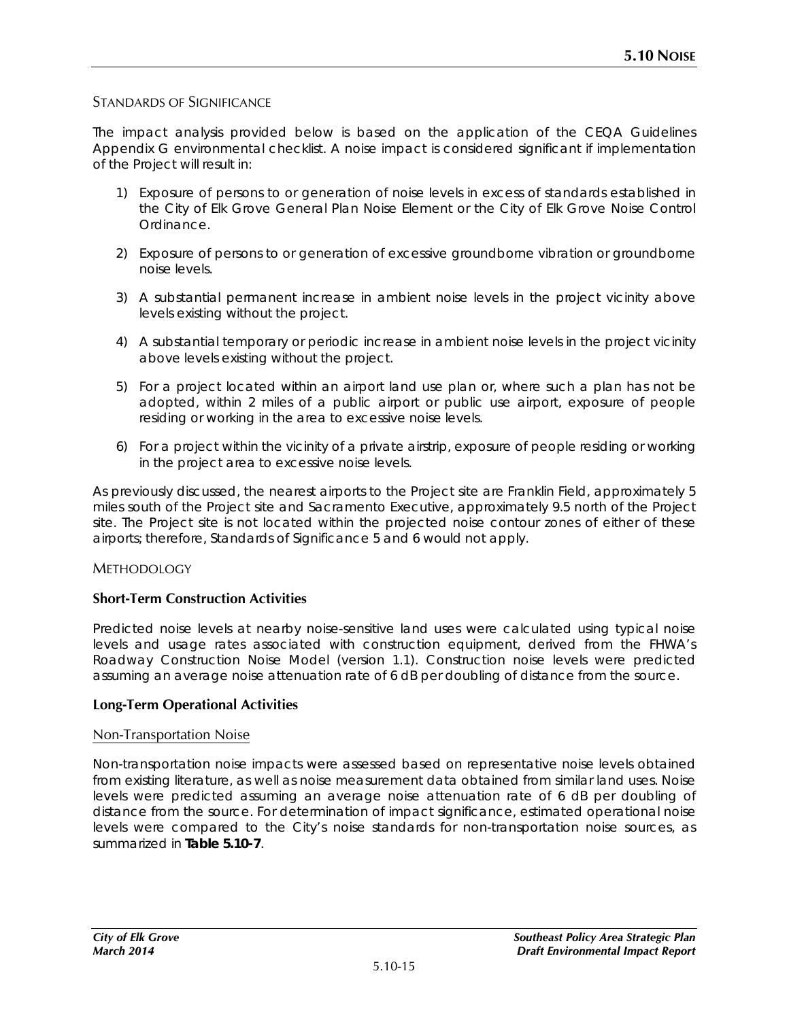## STANDARDS OF SIGNIFICANCE

The impact analysis provided below is based on the application of the CEQA Guidelines Appendix G environmental checklist. A noise impact is considered significant if implementation of the Project will result in:

- 1) Exposure of persons to or generation of noise levels in excess of standards established in the City of Elk Grove General Plan Noise Element or the City of Elk Grove Noise Control Ordinance.
- 2) Exposure of persons to or generation of excessive groundborne vibration or groundborne noise levels.
- 3) A substantial permanent increase in ambient noise levels in the project vicinity above levels existing without the project.
- 4) A substantial temporary or periodic increase in ambient noise levels in the project vicinity above levels existing without the project.
- 5) For a project located within an airport land use plan or, where such a plan has not be adopted, within 2 miles of a public airport or public use airport, exposure of people residing or working in the area to excessive noise levels.
- 6) For a project within the vicinity of a private airstrip, exposure of people residing or working in the project area to excessive noise levels.

As previously discussed, the nearest airports to the Project site are Franklin Field, approximately 5 miles south of the Project site and Sacramento Executive, approximately 9.5 north of the Project site. The Project site is not located within the projected noise contour zones of either of these airports; therefore, Standards of Significance 5 and 6 would not apply.

### METHODOLOGY

### **Short-Term Construction Activities**

Predicted noise levels at nearby noise-sensitive land uses were calculated using typical noise levels and usage rates associated with construction equipment, derived from the FHWA's Roadway Construction Noise Model (version 1.1). Construction noise levels were predicted assuming an average noise attenuation rate of 6 dB per doubling of distance from the source.

### **Long-Term Operational Activities**

#### Non-Transportation Noise

Non-transportation noise impacts were assessed based on representative noise levels obtained from existing literature, as well as noise measurement data obtained from similar land uses. Noise levels were predicted assuming an average noise attenuation rate of 6 dB per doubling of distance from the source. For determination of impact significance, estimated operational noise levels were compared to the City's noise standards for non-transportation noise sources, as summarized in **Table 5.10-7**.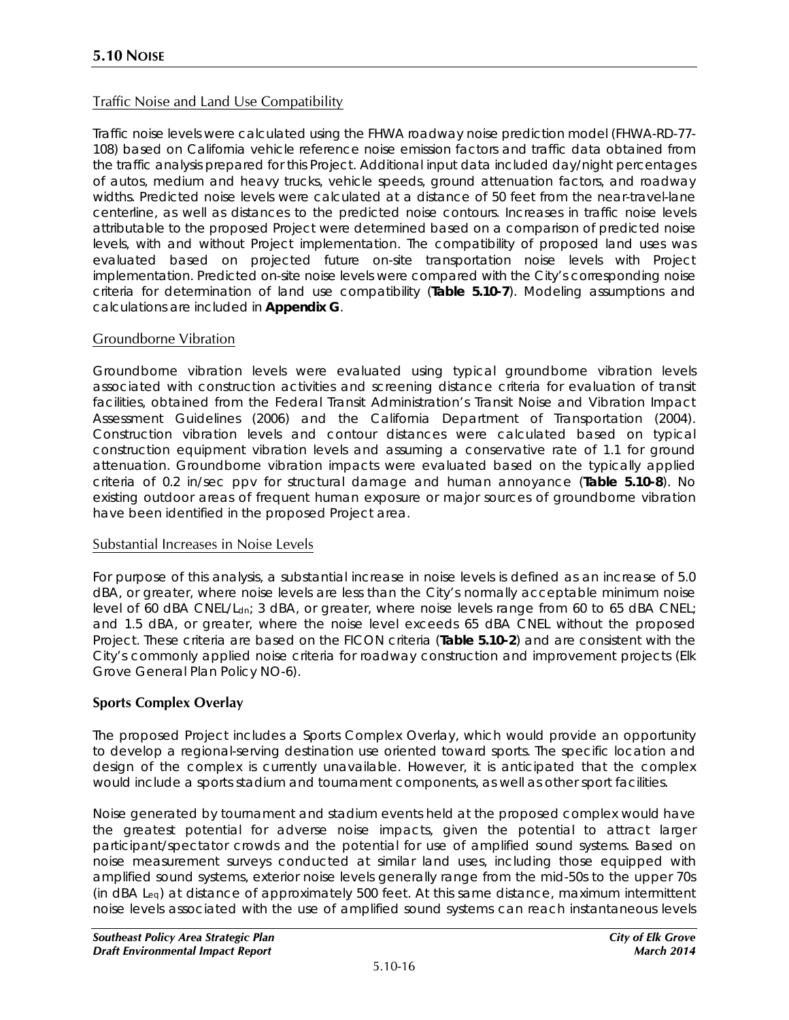## Traffic Noise and Land Use Compatibility

Traffic noise levels were calculated using the FHWA roadway noise prediction model (FHWA-RD-77- 108) based on California vehicle reference noise emission factors and traffic data obtained from the traffic analysis prepared for this Project. Additional input data included day/night percentages of autos, medium and heavy trucks, vehicle speeds, ground attenuation factors, and roadway widths. Predicted noise levels were calculated at a distance of 50 feet from the near-travel-lane centerline, as well as distances to the predicted noise contours. Increases in traffic noise levels attributable to the proposed Project were determined based on a comparison of predicted noise levels, with and without Project implementation. The compatibility of proposed land uses was evaluated based on projected future on-site transportation noise levels with Project implementation. Predicted on-site noise levels were compared with the City's corresponding noise criteria for determination of land use compatibility (**Table 5.10-7**). Modeling assumptions and calculations are included in **Appendix G**.

### Groundborne Vibration

Groundborne vibration levels were evaluated using typical groundborne vibration levels associated with construction activities and screening distance criteria for evaluation of transit facilities, obtained from the Federal Transit Administration's *Transit Noise and Vibration Impact Assessment Guidelines* (2006) and the California Department of Transportation (2004). Construction vibration levels and contour distances were calculated based on typical construction equipment vibration levels and assuming a conservative rate of 1.1 for ground attenuation. Groundborne vibration impacts were evaluated based on the typically applied criteria of 0.2 in/sec ppv for structural damage and human annoyance (**Table 5.10-8**). No existing outdoor areas of frequent human exposure or major sources of groundborne vibration have been identified in the proposed Project area.

#### Substantial Increases in Noise Levels

For purpose of this analysis, a substantial increase in noise levels is defined as an increase of 5.0 dBA, or greater, where noise levels are less than the City's normally acceptable minimum noise level of 60 dBA CNEL/L<sub>dn</sub>; 3 dBA, or greater, where noise levels range from 60 to 65 dBA CNEL; and 1.5 dBA, or greater, where the noise level exceeds 65 dBA CNEL without the proposed Project. These criteria are based on the FICON criteria (**Table 5.10-2**) and are consistent with the City's commonly applied noise criteria for roadway construction and improvement projects (Elk Grove General Plan Policy NO-6).

### **Sports Complex Overlay**

The proposed Project includes a Sports Complex Overlay, which would provide an opportunity to develop a regional-serving destination use oriented toward sports. The specific location and design of the complex is currently unavailable. However, it is anticipated that the complex would include a sports stadium and tournament components, as well as other sport facilities.

Noise generated by tournament and stadium events held at the proposed complex would have the greatest potential for adverse noise impacts, given the potential to attract larger participant/spectator crowds and the potential for use of amplified sound systems. Based on noise measurement surveys conducted at similar land uses, including those equipped with amplified sound systems, exterior noise levels generally range from the mid-50s to the upper 70s (in dBA Leq) at distance of approximately 500 feet. At this same distance, maximum intermittent noise levels associated with the use of amplified sound systems can reach instantaneous levels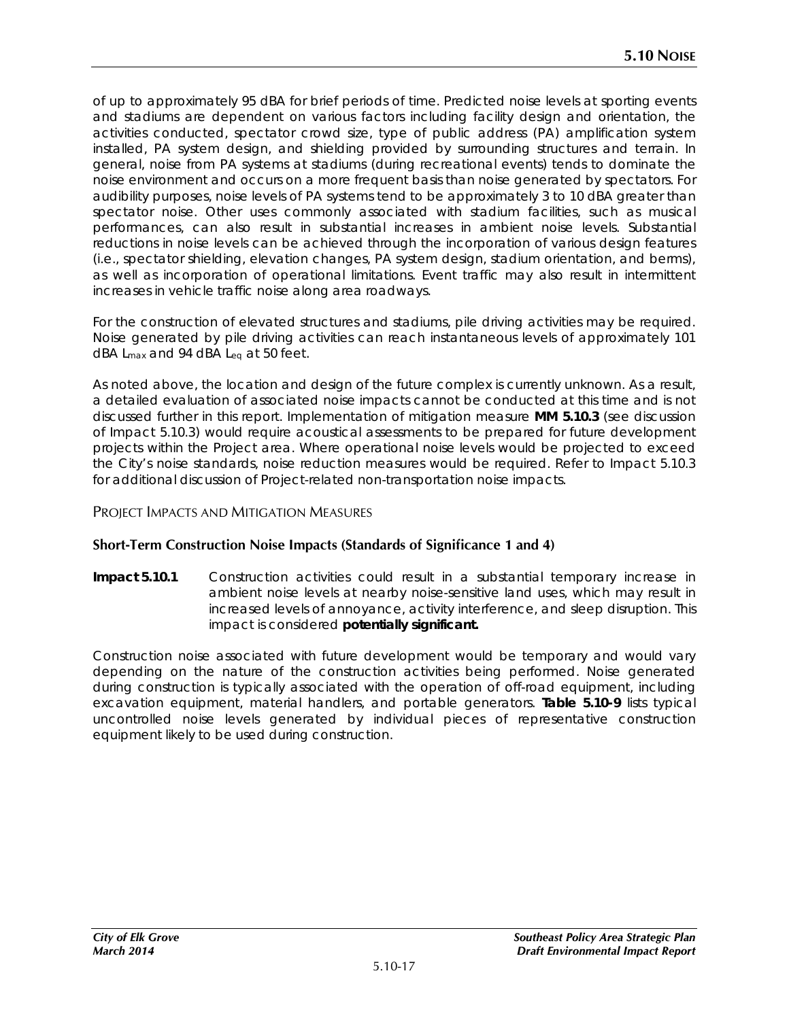of up to approximately 95 dBA for brief periods of time. Predicted noise levels at sporting events and stadiums are dependent on various factors including facility design and orientation, the activities conducted, spectator crowd size, type of public address (PA) amplification system installed, PA system design, and shielding provided by surrounding structures and terrain. In general, noise from PA systems at stadiums (during recreational events) tends to dominate the noise environment and occurs on a more frequent basis than noise generated by spectators. For audibility purposes, noise levels of PA systems tend to be approximately 3 to 10 dBA greater than spectator noise. Other uses commonly associated with stadium facilities, such as musical performances, can also result in substantial increases in ambient noise levels. Substantial reductions in noise levels can be achieved through the incorporation of various design features (i.e., spectator shielding, elevation changes, PA system design, stadium orientation, and berms), as well as incorporation of operational limitations. Event traffic may also result in intermittent increases in vehicle traffic noise along area roadways.

For the construction of elevated structures and stadiums, pile driving activities may be required. Noise generated by pile driving activities can reach instantaneous levels of approximately 101 dBA Lmax and 94 dBA Leq at 50 feet.

As noted above, the location and design of the future complex is currently unknown. As a result, a detailed evaluation of associated noise impacts cannot be conducted at this time and is not discussed further in this report. Implementation of mitigation measure **MM 5.10.3** (see discussion of Impact 5.10.3) would require acoustical assessments to be prepared for future development projects within the Project area. Where operational noise levels would be projected to exceed the City's noise standards, noise reduction measures would be required. Refer to Impact 5.10.3 for additional discussion of Project-related non-transportation noise impacts.

### PROJECT IMPACTS AND MITIGATION MEASURES

### **Short-Term Construction Noise Impacts (Standards of Significance 1 and 4)**

**Impact 5.10.1** Construction activities could result in a substantial temporary increase in ambient noise levels at nearby noise-sensitive land uses, which may result in increased levels of annoyance, activity interference, and sleep disruption. This impact is considered **potentially significant.**

Construction noise associated with future development would be temporary and would vary depending on the nature of the construction activities being performed. Noise generated during construction is typically associated with the operation of off-road equipment, including excavation equipment, material handlers, and portable generators. **Table 5.10-9** lists typical uncontrolled noise levels generated by individual pieces of representative construction equipment likely to be used during construction.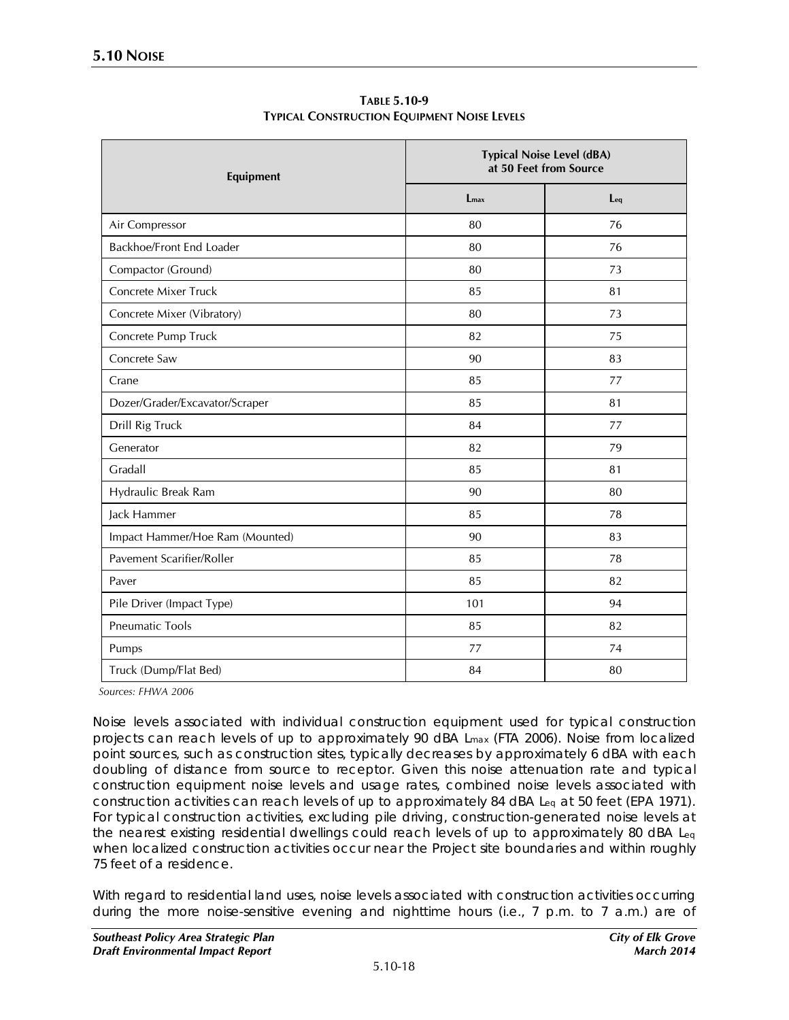| Equipment                       | <b>Typical Noise Level (dBA)</b><br>at 50 Feet from Source |     |  |
|---------------------------------|------------------------------------------------------------|-----|--|
|                                 | $L_{\rm max}$                                              | Leq |  |
| Air Compressor                  | 80                                                         | 76  |  |
| Backhoe/Front End Loader        | 80                                                         | 76  |  |
| Compactor (Ground)              | 80                                                         | 73  |  |
| Concrete Mixer Truck            | 85                                                         | 81  |  |
| Concrete Mixer (Vibratory)      | 80                                                         | 73  |  |
| Concrete Pump Truck             | 82                                                         | 75  |  |
| Concrete Saw                    | 90                                                         | 83  |  |
| Crane                           | 85                                                         | 77  |  |
| Dozer/Grader/Excavator/Scraper  | 85                                                         | 81  |  |
| Drill Rig Truck                 | 84                                                         | 77  |  |
| Generator                       | 82                                                         | 79  |  |
| Gradall                         | 85                                                         | 81  |  |
| Hydraulic Break Ram             | 90                                                         | 80  |  |
| Jack Hammer                     | 85                                                         | 78  |  |
| Impact Hammer/Hoe Ram (Mounted) | 90                                                         | 83  |  |
| Pavement Scarifier/Roller       | 85                                                         | 78  |  |
| Paver                           | 85                                                         | 82  |  |
| Pile Driver (Impact Type)       | 101                                                        | 94  |  |
| <b>Pneumatic Tools</b>          | 85                                                         | 82  |  |
| Pumps                           | 77                                                         | 74  |  |
| Truck (Dump/Flat Bed)           | 84                                                         | 80  |  |

**TABLE 5.10-9 TYPICAL CONSTRUCTION EQUIPMENT NOISE LEVELS**

*Sources: FHWA 2006*

Noise levels associated with individual construction equipment used for typical construction projects can reach levels of up to approximately 90 dBA Lmax (FTA 2006). Noise from localized point sources, such as construction sites, typically decreases by approximately 6 dBA with each doubling of distance from source to receptor. Given this noise attenuation rate and typical construction equipment noise levels and usage rates, combined noise levels associated with construction activities can reach levels of up to approximately 84 dBA L<sub>eq</sub> at 50 feet (EPA 1971). For typical construction activities, excluding pile driving, construction-generated noise levels at the nearest existing residential dwellings could reach levels of up to approximately 80 dBA Leq when localized construction activities occur near the Project site boundaries and within roughly 75 feet of a residence.

With regard to residential land uses, noise levels associated with construction activities occurring during the more noise-sensitive evening and nighttime hours (i.e., 7 p.m. to 7 a.m.) are of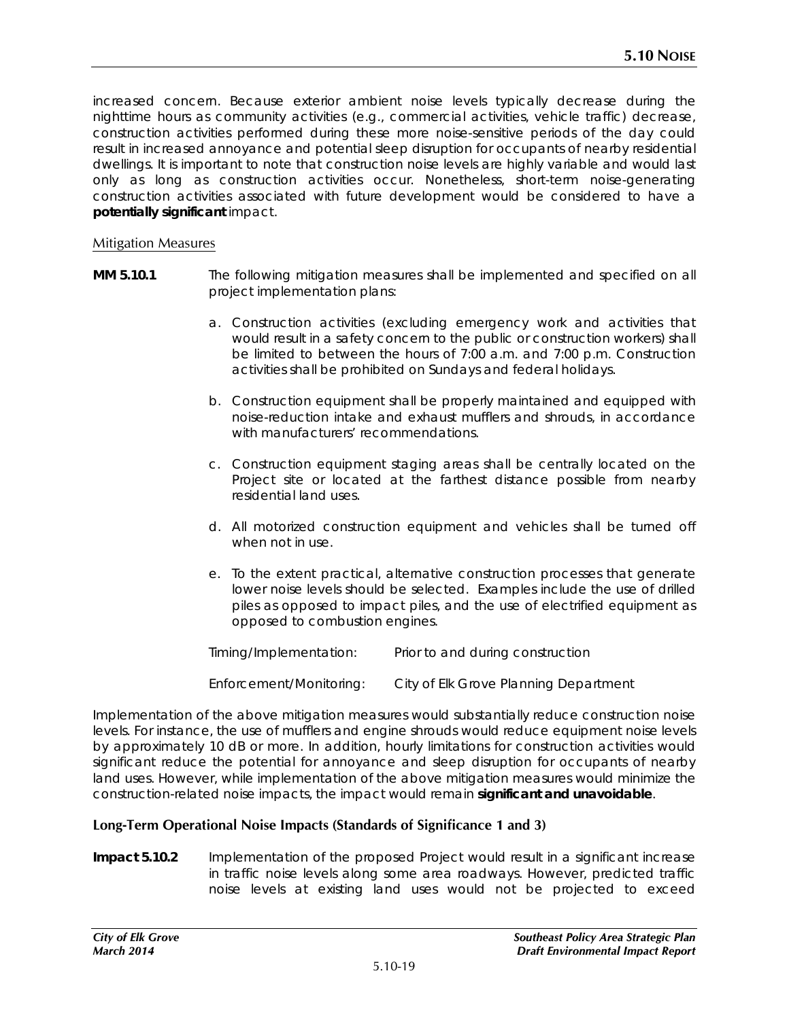increased concern. Because exterior ambient noise levels typically decrease during the nighttime hours as community activities (e.g., commercial activities, vehicle traffic) decrease, construction activities performed during these more noise-sensitive periods of the day could result in increased annoyance and potential sleep disruption for occupants of nearby residential dwellings. It is important to note that construction noise levels are highly variable and would last only as long as construction activities occur. Nonetheless, short-term noise-generating construction activities associated with future development would be considered to have a **potentially significant** impact.

#### Mitigation Measures

- **MM 5.10.1** The following mitigation measures shall be implemented and specified on all project implementation plans:
	- a. Construction activities (excluding emergency work and activities that would result in a safety concern to the public or construction workers) shall be limited to between the hours of 7:00 a.m. and 7:00 p.m. Construction activities shall be prohibited on Sundays and federal holidays.
	- b. Construction equipment shall be properly maintained and equipped with noise-reduction intake and exhaust mufflers and shrouds, in accordance with manufacturers' recommendations.
	- c. Construction equipment staging areas shall be centrally located on the Project site or located at the farthest distance possible from nearby residential land uses.
	- d. All motorized construction equipment and vehicles shall be turned off when not in use.
	- e. To the extent practical, alternative construction processes that generate lower noise levels should be selected. Examples include the use of drilled piles as opposed to impact piles, and the use of electrified equipment as opposed to combustion engines.

| Timing/Implementation:  | Prior to and during construction      |
|-------------------------|---------------------------------------|
| Enforcement/Monitoring: | City of Elk Grove Planning Department |

Implementation of the above mitigation measures would substantially reduce construction noise levels. For instance, the use of mufflers and engine shrouds would reduce equipment noise levels by approximately 10 dB or more. In addition, hourly limitations for construction activities would significant reduce the potential for annoyance and sleep disruption for occupants of nearby land uses. However, while implementation of the above mitigation measures would minimize the construction-related noise impacts, the impact would remain **significant and unavoidable**.

#### **Long-Term Operational Noise Impacts (Standards of Significance 1 and 3)**

**Impact 5.10.2** Implementation of the proposed Project would result in a significant increase in traffic noise levels along some area roadways. However, predicted traffic noise levels at existing land uses would not be projected to exceed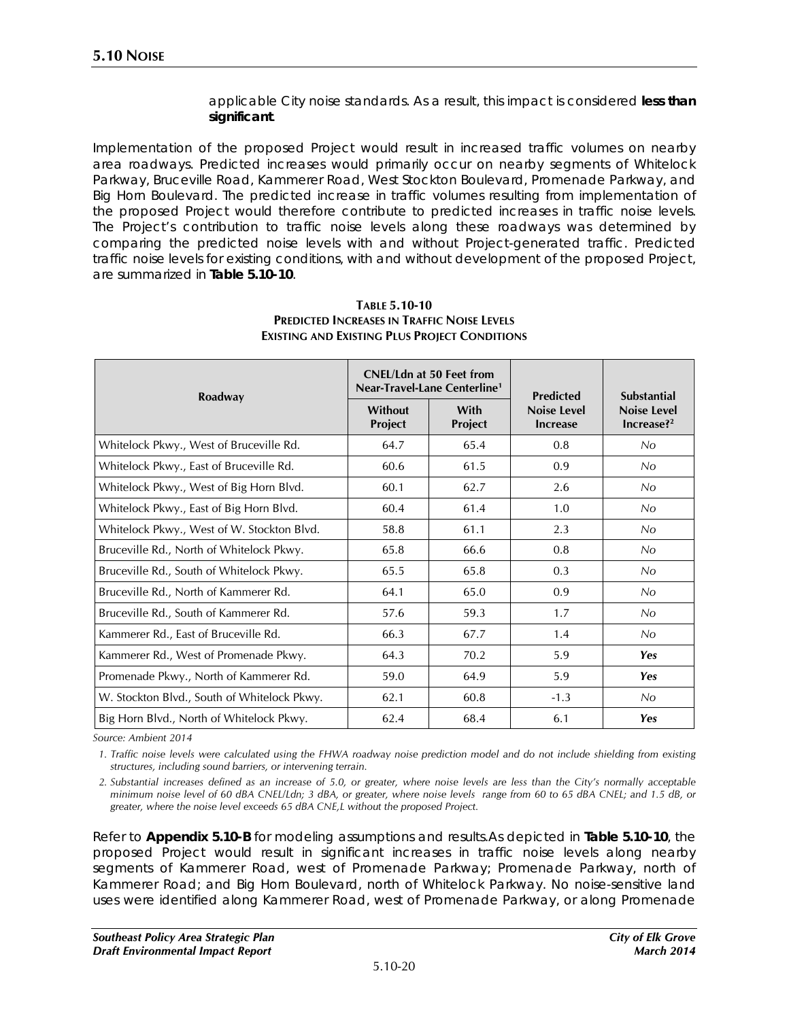applicable City noise standards. As a result, this impact is considered **less than significant**.

Implementation of the proposed Project would result in increased traffic volumes on nearby area roadways. Predicted increases would primarily occur on nearby segments of Whitelock Parkway, Bruceville Road, Kammerer Road, West Stockton Boulevard, Promenade Parkway, and Big Horn Boulevard. The predicted increase in traffic volumes resulting from implementation of the proposed Project would therefore contribute to predicted increases in traffic noise levels. The Project's contribution to traffic noise levels along these roadways was determined by comparing the predicted noise levels with and without Project-generated traffic. Predicted traffic noise levels for existing conditions, with and without development of the proposed Project, are summarized in **Table 5.10-10**.

| Roadway                                     |                    | <b>CNEL/Ldn at 50 Feet from</b><br>Near-Travel-Lane Centerline <sup>1</sup> | <b>Predicted</b>                      | <b>Substantial</b>              |  |
|---------------------------------------------|--------------------|-----------------------------------------------------------------------------|---------------------------------------|---------------------------------|--|
|                                             | Without<br>Project | With<br>Project                                                             | <b>Noise Level</b><br><b>Increase</b> | <b>Noise Level</b><br>Increase? |  |
| Whitelock Pkwy., West of Bruceville Rd.     | 64.7               | 65.4                                                                        | 0.8                                   | No                              |  |
| Whitelock Pkwy., East of Bruceville Rd.     | 60.6               | 61.5                                                                        | 0.9                                   | No                              |  |
| Whitelock Pkwy., West of Big Horn Blvd.     | 60.1               | 62.7                                                                        | 2.6                                   | No                              |  |
| Whitelock Pkwy., East of Big Horn Blvd.     | 60.4               | 61.4                                                                        | 1.0                                   | No.                             |  |
| Whitelock Pkwy., West of W. Stockton Blvd.  | 58.8               | 61.1                                                                        | 2.3                                   | No                              |  |
| Bruceville Rd., North of Whitelock Pkwy.    | 65.8               | 66.6                                                                        | 0.8                                   | No.                             |  |
| Bruceville Rd., South of Whitelock Pkwy.    | 65.5               | 65.8                                                                        | 0.3                                   | No.                             |  |
| Bruceville Rd., North of Kammerer Rd.       | 64.1               | 65.0                                                                        | 0.9                                   | No.                             |  |
| Bruceville Rd., South of Kammerer Rd.       | 57.6               | 59.3                                                                        | 1.7                                   | No.                             |  |
| Kammerer Rd., East of Bruceville Rd.        | 66.3               | 67.7                                                                        | 1.4                                   | No                              |  |
| Kammerer Rd., West of Promenade Pkwy.       | 64.3               | 70.2                                                                        | 5.9                                   | <b>Yes</b>                      |  |
| Promenade Pkwy., North of Kammerer Rd.      | 59.0               | 64.9                                                                        | 5.9                                   | <b>Yes</b>                      |  |
| W. Stockton Blvd., South of Whitelock Pkwy. | 62.1               | 60.8                                                                        | $-1.3$                                | No.                             |  |
| Big Horn Blvd., North of Whitelock Pkwy.    | 62.4               | 68.4                                                                        | 6.1                                   | <b>Yes</b>                      |  |

#### **TABLE 5.10-10 PREDICTED INCREASES IN TRAFFIC NOISE LEVELS EXISTING AND EXISTING PLUS PROJECT CONDITIONS**

*Source: Ambient 2014*

*1. Traffic noise levels were calculated using the FHWA roadway noise prediction model and do not include shielding from existing structures, including sound barriers, or intervening terrain.*

*2. Substantial increases defined as an increase of 5.0, or greater, where noise levels are less than the City's normally acceptable minimum noise level of 60 dBA CNEL/Ldn; 3 dBA, or greater, where noise levels range from 60 to 65 dBA CNEL; and 1.5 dB, or greater, where the noise level exceeds 65 dBA CNE,L without the proposed Project.* 

Refer to **Appendix 5.10-B** for modeling assumptions and results.As depicted in **Table 5.10-10**, the proposed Project would result in significant increases in traffic noise levels along nearby segments of Kammerer Road, west of Promenade Parkway; Promenade Parkway, north of Kammerer Road; and Big Horn Boulevard, north of Whitelock Parkway. No noise-sensitive land uses were identified along Kammerer Road, west of Promenade Parkway, or along Promenade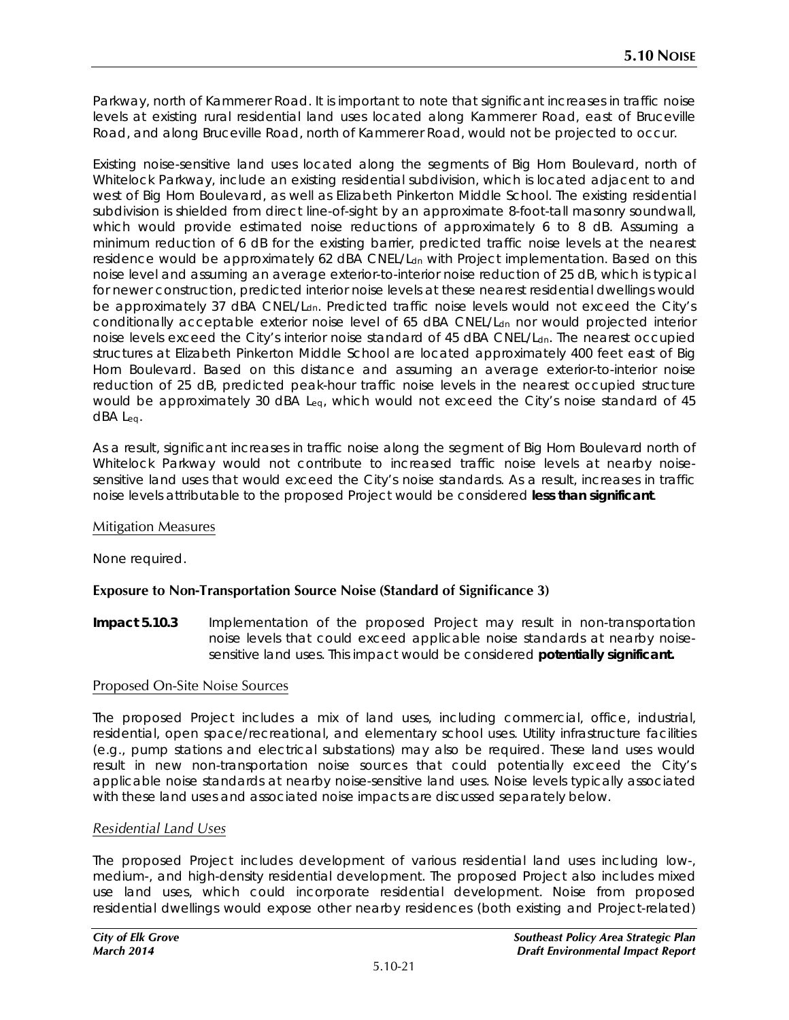Parkway, north of Kammerer Road. It is important to note that significant increases in traffic noise levels at existing rural residential land uses located along Kammerer Road, east of Bruceville Road, and along Bruceville Road, north of Kammerer Road, would not be projected to occur.

Existing noise-sensitive land uses located along the segments of Big Horn Boulevard, north of Whitelock Parkway, include an existing residential subdivision, which is located adjacent to and west of Big Horn Boulevard, as well as Elizabeth Pinkerton Middle School. The existing residential subdivision is shielded from direct line-of-sight by an approximate 8-foot-tall masonry soundwall, which would provide estimated noise reductions of approximately 6 to 8 dB. Assuming a minimum reduction of 6 dB for the existing barrier, predicted traffic noise levels at the nearest residence would be approximately 62 dBA CNEL/L<sub>dn</sub> with Project implementation. Based on this noise level and assuming an average exterior-to-interior noise reduction of 25 dB, which is typical for newer construction, predicted interior noise levels at these nearest residential dwellings would be approximately 37 dBA CNEL/L<sub>dn</sub>. Predicted traffic noise levels would not exceed the City's conditionally acceptable exterior noise level of 65 dBA CNEL/L<sub>dn</sub> nor would projected interior noise levels exceed the City's interior noise standard of 45 dBA CNEL/L<sub>dn</sub>. The nearest occupied structures at Elizabeth Pinkerton Middle School are located approximately 400 feet east of Big Horn Boulevard. Based on this distance and assuming an average exterior-to-interior noise reduction of 25 dB, predicted peak-hour traffic noise levels in the nearest occupied structure would be approximately 30 dBA Leq, which would not exceed the City's noise standard of 45 dBA Leq.

As a result, significant increases in traffic noise along the segment of Big Horn Boulevard north of Whitelock Parkway would not contribute to increased traffic noise levels at nearby noisesensitive land uses that would exceed the City's noise standards. As a result, increases in traffic noise levels attributable to the proposed Project would be considered **less than significant**.

### Mitigation Measures

None required.

### **Exposure to Non-Transportation Source Noise (Standard of Significance 3)**

**Impact 5.10.3** Implementation of the proposed Project may result in non-transportation noise levels that could exceed applicable noise standards at nearby noisesensitive land uses. This impact would be considered **potentially significant.**

### Proposed On-Site Noise Sources

The proposed Project includes a mix of land uses, including commercial, office, industrial, residential, open space/recreational, and elementary school uses. Utility infrastructure facilities (e.g., pump stations and electrical substations) may also be required. These land uses would result in new non-transportation noise sources that could potentially exceed the City's applicable noise standards at nearby noise-sensitive land uses. Noise levels typically associated with these land uses and associated noise impacts are discussed separately below.

### *Residential Land Uses*

The proposed Project includes development of various residential land uses including low-, medium-, and high-density residential development. The proposed Project also includes mixed use land uses, which could incorporate residential development. Noise from proposed residential dwellings would expose other nearby residences (both existing and Project-related)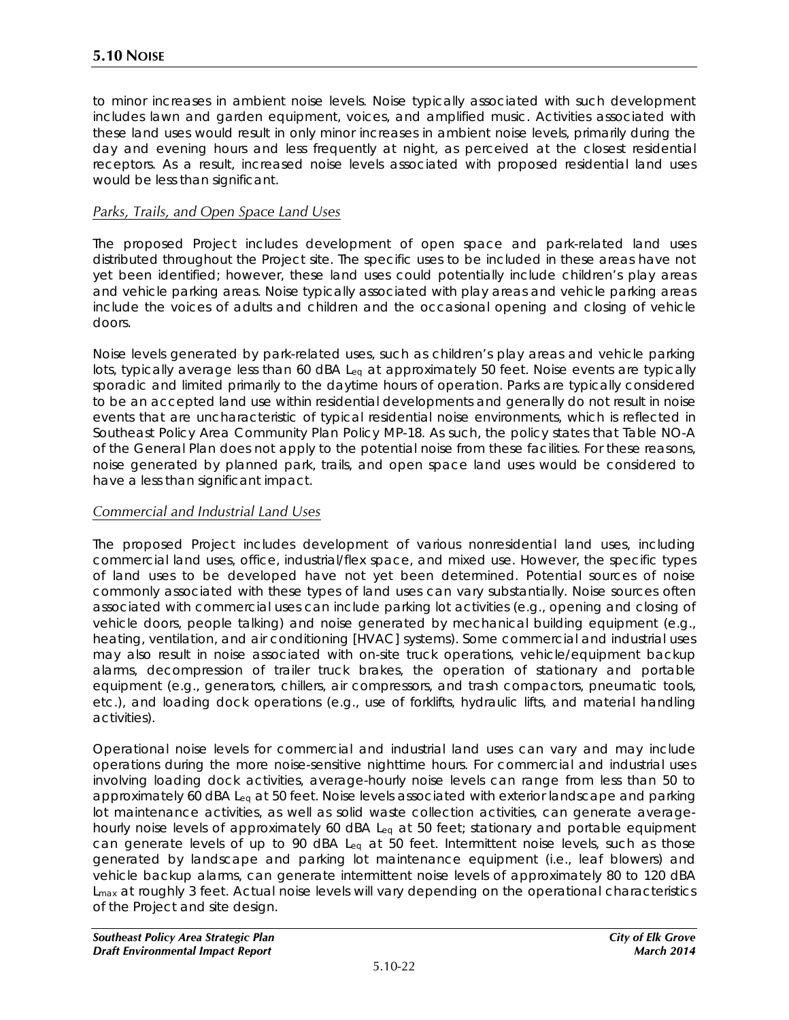to minor increases in ambient noise levels. Noise typically associated with such development includes lawn and garden equipment, voices, and amplified music. Activities associated with these land uses would result in only minor increases in ambient noise levels, primarily during the day and evening hours and less frequently at night, as perceived at the closest residential receptors. As a result, increased noise levels associated with proposed residential land uses would be less than significant.

#### *Parks, Trails, and Open Space Land Uses*

The proposed Project includes development of open space and park-related land uses distributed throughout the Project site. The specific uses to be included in these areas have not yet been identified; however, these land uses could potentially include children's play areas and vehicle parking areas. Noise typically associated with play areas and vehicle parking areas include the voices of adults and children and the occasional opening and closing of vehicle doors.

Noise levels generated by park-related uses, such as children's play areas and vehicle parking lots, typically average less than 60 dBA  $L_{eq}$  at approximately 50 feet. Noise events are typically sporadic and limited primarily to the daytime hours of operation. Parks are typically considered to be an accepted land use within residential developments and generally do not result in noise events that are uncharacteristic of typical residential noise environments, which is reflected in Southeast Policy Area Community Plan Policy MP-18. As such, the policy states that Table NO-A of the General Plan does not apply to the potential noise from these facilities. For these reasons, noise generated by planned park, trails, and open space land uses would be considered to have a less than significant impact.

#### *Commercial and Industrial Land Uses*

The proposed Project includes development of various nonresidential land uses, including commercial land uses, office, industrial/flex space, and mixed use. However, the specific types of land uses to be developed have not yet been determined. Potential sources of noise commonly associated with these types of land uses can vary substantially. Noise sources often associated with commercial uses can include parking lot activities (e.g., opening and closing of vehicle doors, people talking) and noise generated by mechanical building equipment (e.g., heating, ventilation, and air conditioning [HVAC] systems). Some commercial and industrial uses may also result in noise associated with on-site truck operations, vehicle/equipment backup alarms, decompression of trailer truck brakes, the operation of stationary and portable equipment (e.g., generators, chillers, air compressors, and trash compactors, pneumatic tools, etc.), and loading dock operations (e.g., use of forklifts, hydraulic lifts, and material handling activities).

Operational noise levels for commercial and industrial land uses can vary and may include operations during the more noise-sensitive nighttime hours. For commercial and industrial uses involving loading dock activities, average-hourly noise levels can range from less than 50 to approximately 60 dBA Leq at 50 feet. Noise levels associated with exterior landscape and parking lot maintenance activities, as well as solid waste collection activities, can generate averagehourly noise levels of approximately 60 dBA Leq at 50 feet; stationary and portable equipment can generate levels of up to 90 dBA Leq at 50 feet. Intermittent noise levels, such as those generated by landscape and parking lot maintenance equipment (i.e., leaf blowers) and vehicle backup alarms, can generate intermittent noise levels of approximately 80 to 120 dBA L<sub>max</sub> at roughly 3 feet. Actual noise levels will vary depending on the operational characteristics of the Project and site design.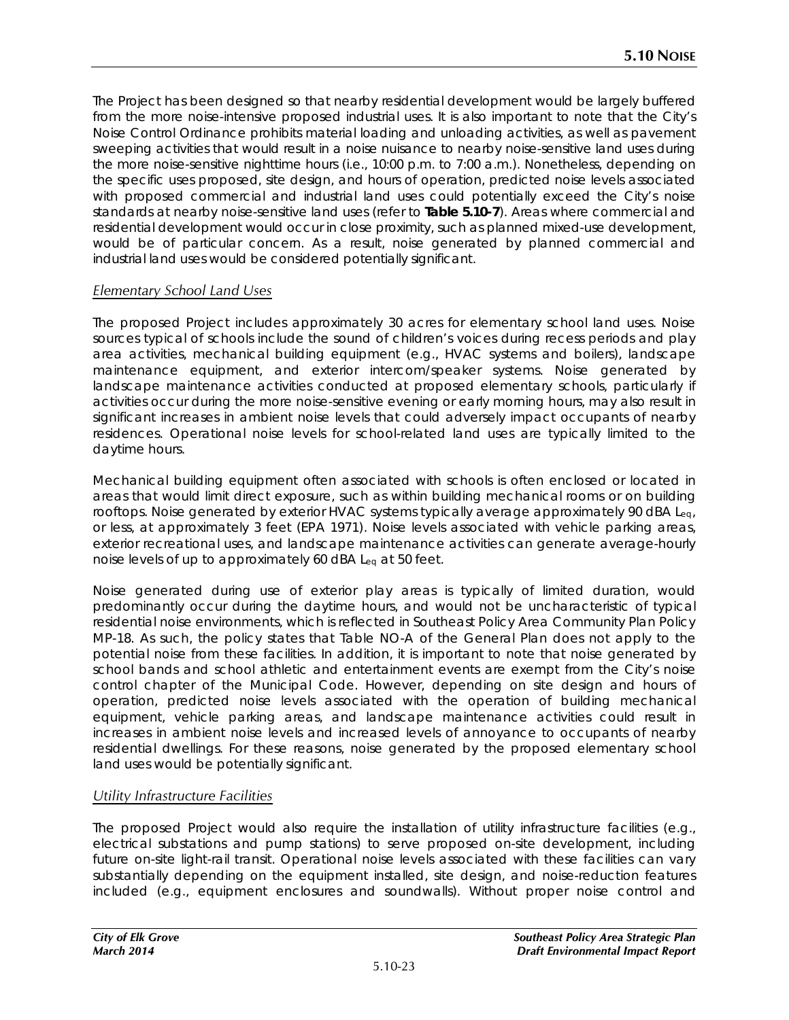The Project has been designed so that nearby residential development would be largely buffered from the more noise-intensive proposed industrial uses. It is also important to note that the City's Noise Control Ordinance prohibits material loading and unloading activities, as well as pavement sweeping activities that would result in a noise nuisance to nearby noise-sensitive land uses during the more noise-sensitive nighttime hours (i.e., 10:00 p.m. to 7:00 a.m.). Nonetheless, depending on the specific uses proposed, site design, and hours of operation, predicted noise levels associated with proposed commercial and industrial land uses could potentially exceed the City's noise standards at nearby noise-sensitive land uses (refer to **Table 5.10-7**). Areas where commercial and residential development would occur in close proximity, such as planned mixed-use development, would be of particular concern. As a result, noise generated by planned commercial and industrial land uses would be considered potentially significant.

## *Elementary School Land Uses*

The proposed Project includes approximately 30 acres for elementary school land uses. Noise sources typical of schools include the sound of children's voices during recess periods and play area activities, mechanical building equipment (e.g., HVAC systems and boilers), landscape maintenance equipment, and exterior intercom/speaker systems. Noise generated by landscape maintenance activities conducted at proposed elementary schools, particularly if activities occur during the more noise-sensitive evening or early morning hours, may also result in significant increases in ambient noise levels that could adversely impact occupants of nearby residences. Operational noise levels for school-related land uses are typically limited to the daytime hours.

Mechanical building equipment often associated with schools is often enclosed or located in areas that would limit direct exposure, such as within building mechanical rooms or on building rooftops. Noise generated by exterior HVAC systems typically average approximately 90 dBA Leq, or less, at approximately 3 feet (EPA 1971). Noise levels associated with vehicle parking areas, exterior recreational uses, and landscape maintenance activities can generate average-hourly noise levels of up to approximately 60 dBA Leq at 50 feet.

Noise generated during use of exterior play areas is typically of limited duration, would predominantly occur during the daytime hours, and would not be uncharacteristic of typical residential noise environments, which is reflected in Southeast Policy Area Community Plan Policy MP-18. As such, the policy states that Table NO-A of the General Plan does not apply to the potential noise from these facilities. In addition, it is important to note that noise generated by school bands and school athletic and entertainment events are exempt from the City's noise control chapter of the Municipal Code. However, depending on site design and hours of operation, predicted noise levels associated with the operation of building mechanical equipment, vehicle parking areas, and landscape maintenance activities could result in increases in ambient noise levels and increased levels of annoyance to occupants of nearby residential dwellings. For these reasons, noise generated by the proposed elementary school land uses would be potentially significant.

### *Utility Infrastructure Facilities*

The proposed Project would also require the installation of utility infrastructure facilities (e.g., electrical substations and pump stations) to serve proposed on-site development, including future on-site light-rail transit. Operational noise levels associated with these facilities can vary substantially depending on the equipment installed, site design, and noise-reduction features included (e.g., equipment enclosures and soundwalls). Without proper noise control and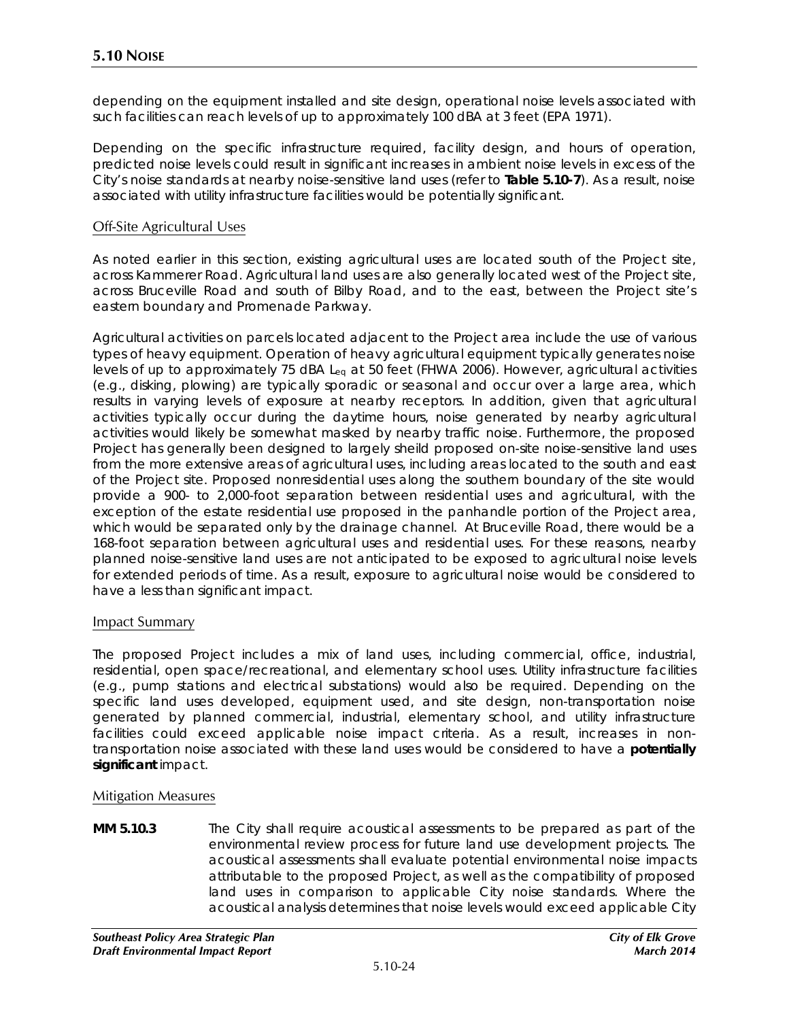depending on the equipment installed and site design, operational noise levels associated with such facilities can reach levels of up to approximately 100 dBA at 3 feet (EPA 1971).

Depending on the specific infrastructure required, facility design, and hours of operation, predicted noise levels could result in significant increases in ambient noise levels in excess of the City's noise standards at nearby noise-sensitive land uses (refer to **Table 5.10-7**). As a result, noise associated with utility infrastructure facilities would be potentially significant.

#### Off-Site Agricultural Uses

As noted earlier in this section, existing agricultural uses are located south of the Project site, across Kammerer Road. Agricultural land uses are also generally located west of the Project site, across Bruceville Road and south of Bilby Road, and to the east, between the Project site's eastern boundary and Promenade Parkway.

Agricultural activities on parcels located adjacent to the Project area include the use of various types of heavy equipment. Operation of heavy agricultural equipment typically generates noise levels of up to approximately 75 dBA Leq at 50 feet (FHWA 2006). However, agricultural activities (e.g., disking, plowing) are typically sporadic or seasonal and occur over a large area, which results in varying levels of exposure at nearby receptors. In addition, given that agricultural activities typically occur during the daytime hours, noise generated by nearby agricultural activities would likely be somewhat masked by nearby traffic noise. Furthermore, the proposed Project has generally been designed to largely sheild proposed on-site noise-sensitive land uses from the more extensive areas of agricultural uses, including areas located to the south and east of the Project site. Proposed nonresidential uses along the southern boundary of the site would provide a 900- to 2,000-foot separation between residential uses and agricultural, with the exception of the estate residential use proposed in the panhandle portion of the Project area, which would be separated only by the drainage channel. At Bruceville Road, there would be a 168-foot separation between agricultural uses and residential uses. For these reasons, nearby planned noise-sensitive land uses are not anticipated to be exposed to agricultural noise levels for extended periods of time. As a result, exposure to agricultural noise would be considered to have a less than significant impact.

#### Impact Summary

The proposed Project includes a mix of land uses, including commercial, office, industrial, residential, open space/recreational, and elementary school uses. Utility infrastructure facilities (e.g., pump stations and electrical substations) would also be required. Depending on the specific land uses developed, equipment used, and site design, non-transportation noise generated by planned commercial, industrial, elementary school, and utility infrastructure facilities could exceed applicable noise impact criteria. As a result, increases in nontransportation noise associated with these land uses would be considered to have a **potentially significant** impact.

#### Mitigation Measures

**MM 5.10.3** The City shall require acoustical assessments to be prepared as part of the environmental review process for future land use development projects. The acoustical assessments shall evaluate potential environmental noise impacts attributable to the proposed Project, as well as the compatibility of proposed land uses in comparison to applicable City noise standards. Where the acoustical analysis determines that noise levels would exceed applicable City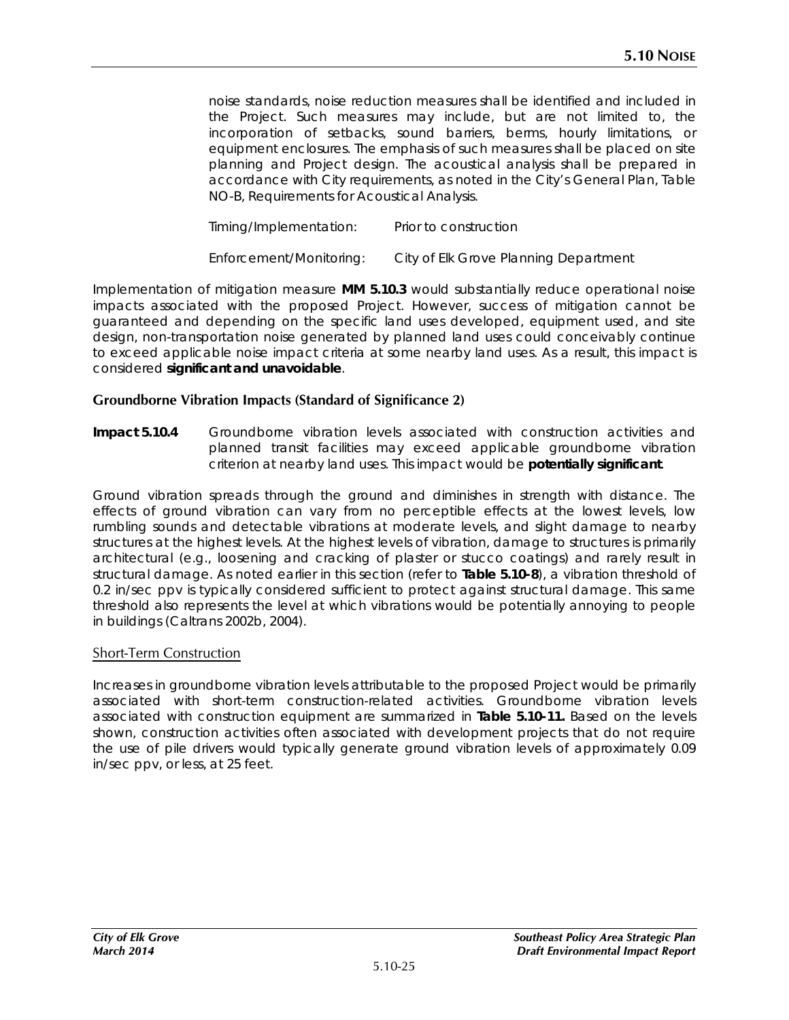noise standards, noise reduction measures shall be identified and included in the Project. Such measures may include, but are not limited to, the incorporation of setbacks, sound barriers, berms, hourly limitations, or equipment enclosures. The emphasis of such measures shall be placed on site planning and Project design. The acoustical analysis shall be prepared in accordance with City requirements, as noted in the City's General Plan, Table NO-B, Requirements for Acoustical Analysis.

*Timing/Implementation: Prior to construction Enforcement/Monitoring: City of Elk Grove Planning Department* 

Implementation of mitigation measure **MM 5.10.3** would substantially reduce operational noise impacts associated with the proposed Project. However, success of mitigation cannot be guaranteed and depending on the specific land uses developed, equipment used, and site design, non-transportation noise generated by planned land uses could conceivably continue to exceed applicable noise impact criteria at some nearby land uses. As a result, this impact is considered **significant and unavoidable**.

## **Groundborne Vibration Impacts (Standard of Significance 2)**

**Impact 5.10.4** Groundborne vibration levels associated with construction activities and planned transit facilities may exceed applicable groundborne vibration criterion at nearby land uses. This impact would be **potentially significant**.

Ground vibration spreads through the ground and diminishes in strength with distance. The effects of ground vibration can vary from no perceptible effects at the lowest levels, low rumbling sounds and detectable vibrations at moderate levels, and slight damage to nearby structures at the highest levels. At the highest levels of vibration, damage to structures is primarily architectural (e.g., loosening and cracking of plaster or stucco coatings) and rarely result in structural damage. As noted earlier in this section (refer to **Table 5.10-8**), a vibration threshold of 0.2 in/sec ppv is typically considered sufficient to protect against structural damage. This same threshold also represents the level at which vibrations would be potentially annoying to people in buildings (Caltrans 2002b, 2004).

### Short-Term Construction

Increases in groundborne vibration levels attributable to the proposed Project would be primarily associated with short-term construction-related activities. Groundborne vibration levels associated with construction equipment are summarized in **Table 5.10-11.** Based on the levels shown, construction activities often associated with development projects that do not require the use of pile drivers would typically generate ground vibration levels of approximately 0.09 in/sec ppv, or less, at 25 feet.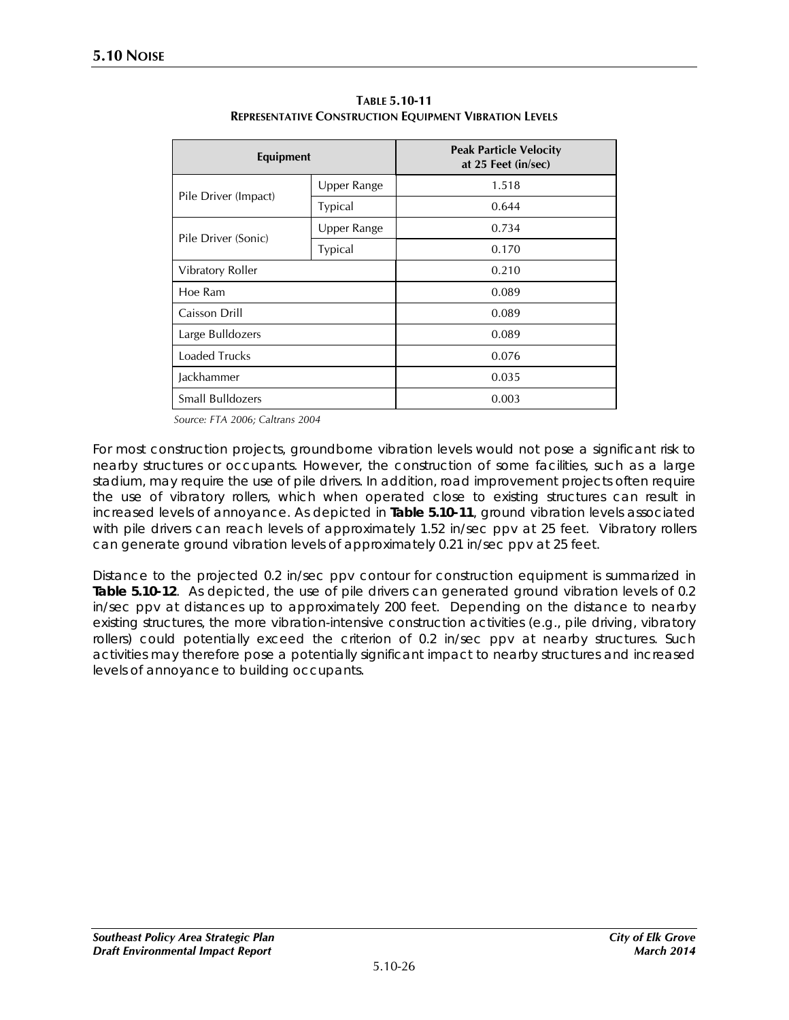| Equipment            |                | <b>Peak Particle Velocity</b><br>at 25 Feet (in/sec) |  |  |
|----------------------|----------------|------------------------------------------------------|--|--|
| Pile Driver (Impact) | Upper Range    | 1.518                                                |  |  |
|                      | <b>Typical</b> | 0.644                                                |  |  |
| Pile Driver (Sonic)  | Upper Range    | 0.734                                                |  |  |
|                      | <b>Typical</b> | 0.170                                                |  |  |
| Vibratory Roller     |                | 0.210                                                |  |  |
| Hoe Ram              |                | 0.089                                                |  |  |
| Caisson Drill        |                | 0.089                                                |  |  |
| Large Bulldozers     |                | 0.089                                                |  |  |
| Loaded Trucks        |                | 0.076                                                |  |  |
| Jackhammer           |                | 0.035                                                |  |  |
| Small Bulldozers     |                | 0.003                                                |  |  |

**TABLE 5.10-11 REPRESENTATIVE CONSTRUCTION EQUIPMENT VIBRATION LEVELS**

*Source: FTA 2006; Caltrans 2004*

For most construction projects, groundborne vibration levels would not pose a significant risk to nearby structures or occupants. However, the construction of some facilities, such as a large stadium, may require the use of pile drivers. In addition, road improvement projects often require the use of vibratory rollers, which when operated close to existing structures can result in increased levels of annoyance. As depicted in **Table 5.10-11**, ground vibration levels associated with pile drivers can reach levels of approximately 1.52 in/sec ppv at 25 feet. Vibratory rollers can generate ground vibration levels of approximately 0.21 in/sec ppv at 25 feet.

Distance to the projected 0.2 in/sec ppv contour for construction equipment is summarized in **Table 5.10-12**. As depicted, the use of pile drivers can generated ground vibration levels of 0.2 in/sec ppv at distances up to approximately 200 feet. Depending on the distance to nearby existing structures, the more vibration-intensive construction activities (e.g., pile driving, vibratory rollers) could potentially exceed the criterion of 0.2 in/sec ppv at nearby structures. Such activities may therefore pose a potentially significant impact to nearby structures and increased levels of annoyance to building occupants.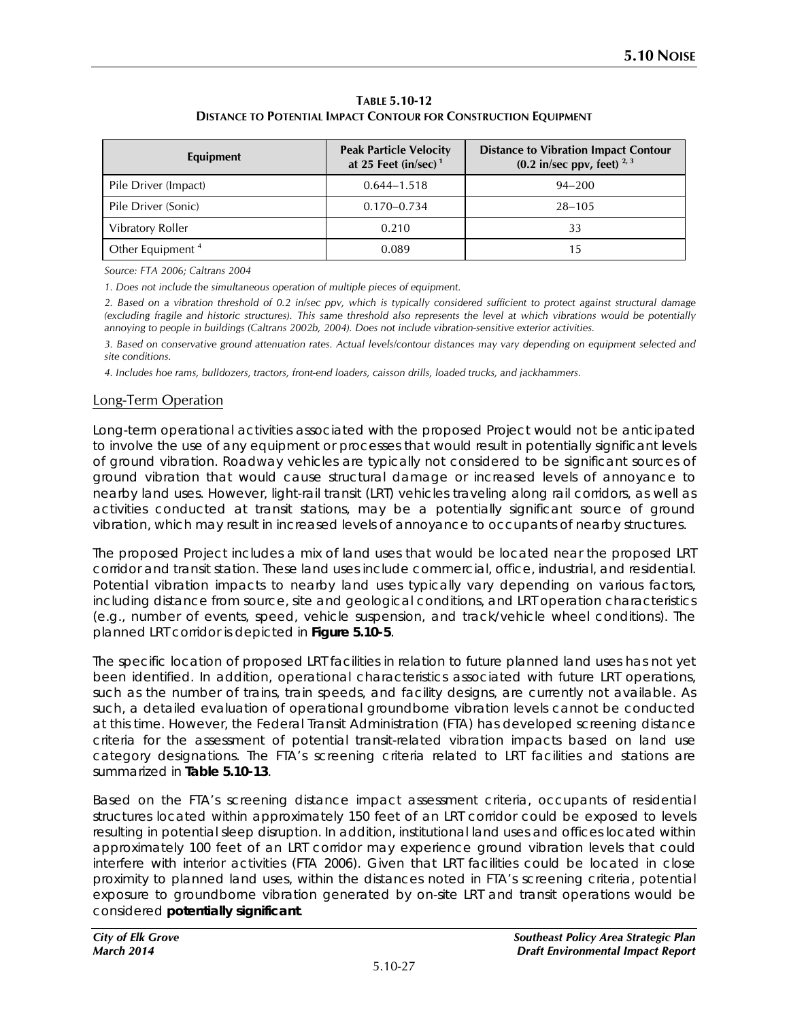| Equipment                    | <b>Peak Particle Velocity</b><br>at 25 Feet (in/sec) $1$ | <b>Distance to Vibration Impact Contour</b><br>$(0.2 \text{ in/sec ppv, feet})^{2.3}$ |
|------------------------------|----------------------------------------------------------|---------------------------------------------------------------------------------------|
| Pile Driver (Impact)         | $0.644 - 1.518$                                          | $94 - 200$                                                                            |
| Pile Driver (Sonic)          | $0.170 - 0.734$                                          | $28 - 105$                                                                            |
| Vibratory Roller             | 0.210                                                    | 33                                                                                    |
| Other Equipment <sup>4</sup> | 0.089                                                    | 15                                                                                    |

**TABLE 5.10-12 DISTANCE TO POTENTIAL IMPACT CONTOUR FOR CONSTRUCTION EQUIPMENT**

*Source: FTA 2006; Caltrans 2004*

*1. Does not include the simultaneous operation of multiple pieces of equipment.* 

*2. Based on a vibration threshold of 0.2 in/sec ppv, which is typically considered sufficient to protect against structural damage (excluding fragile and historic structures). This same threshold also represents the level at which vibrations would be potentially annoying to people in buildings (Caltrans 2002b, 2004). Does not include vibration-sensitive exterior activities.*

*3. Based on conservative ground attenuation rates. Actual levels/contour distances may vary depending on equipment selected and site conditions.*

*4. Includes hoe rams, bulldozers, tractors, front-end loaders, caisson drills, loaded trucks, and jackhammers.*

#### Long-Term Operation

Long-term operational activities associated with the proposed Project would not be anticipated to involve the use of any equipment or processes that would result in potentially significant levels of ground vibration. Roadway vehicles are typically not considered to be significant sources of ground vibration that would cause structural damage or increased levels of annoyance to nearby land uses. However, light-rail transit (LRT) vehicles traveling along rail corridors, as well as activities conducted at transit stations, may be a potentially significant source of ground vibration, which may result in increased levels of annoyance to occupants of nearby structures.

The proposed Project includes a mix of land uses that would be located near the proposed LRT corridor and transit station. These land uses include commercial, office, industrial, and residential. Potential vibration impacts to nearby land uses typically vary depending on various factors, including distance from source, site and geological conditions, and LRT operation characteristics (e.g., number of events, speed, vehicle suspension, and track/vehicle wheel conditions). The planned LRT corridor is depicted in **Figure 5.10-5**.

The specific location of proposed LRT facilities in relation to future planned land uses has not yet been identified. In addition, operational characteristics associated with future LRT operations, such as the number of trains, train speeds, and facility designs, are currently not available. As such, a detailed evaluation of operational groundborne vibration levels cannot be conducted at this time. However, the Federal Transit Administration (FTA) has developed screening distance criteria for the assessment of potential transit-related vibration impacts based on land use category designations. The FTA's screening criteria related to LRT facilities and stations are summarized in **Table 5.10-13**.

Based on the FTA's screening distance impact assessment criteria, occupants of residential structures located within approximately 150 feet of an LRT corridor could be exposed to levels resulting in potential sleep disruption. In addition, institutional land uses and offices located within approximately 100 feet of an LRT corridor may experience ground vibration levels that could interfere with interior activities (FTA 2006). Given that LRT facilities could be located in close proximity to planned land uses, within the distances noted in FTA's screening criteria, potential exposure to groundborne vibration generated by on-site LRT and transit operations would be considered **potentially significant**.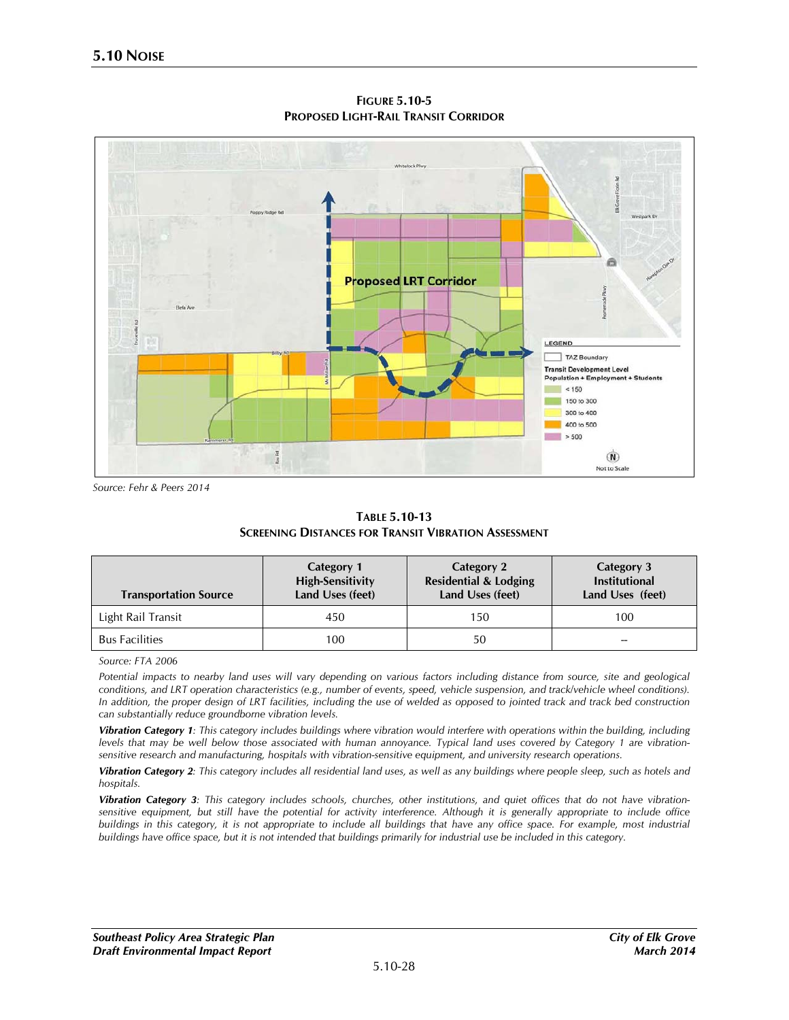

**FIGURE 5.10-5 PROPOSED LIGHT-RAIL TRANSIT CORRIDOR**

*Source: Fehr & Peers 2014*

**TABLE 5.10-13 SCREENING DISTANCES FOR TRANSIT VIBRATION ASSESSMENT** 

| <b>Transportation Source</b> | <b>Category 1</b><br><b>High-Sensitivity</b><br>Land Uses (feet) | Category 2<br><b>Residential &amp; Lodging</b><br>Land Uses (feet) | Category 3<br><b>Institutional</b><br>Land Uses (feet) |
|------------------------------|------------------------------------------------------------------|--------------------------------------------------------------------|--------------------------------------------------------|
| Light Rail Transit           | 450                                                              | 150                                                                | 100                                                    |
| <b>Bus Facilities</b>        | 100                                                              | 50                                                                 |                                                        |

*Source: FTA 2006*

*Potential impacts to nearby land uses will vary depending on various factors including distance from source, site and geological conditions, and LRT operation characteristics (e.g., number of events, speed, vehicle suspension, and track/vehicle wheel conditions). In addition, the proper design of LRT facilities, including the use of welded as opposed to jointed track and track bed construction can substantially reduce groundborne vibration levels.*

*Vibration Category 1: This category includes buildings where vibration would interfere with operations within the building, including levels that may be well below those associated with human annoyance. Typical land uses covered by Category 1 are vibrationsensitive research and manufacturing, hospitals with vibration-sensitive equipment, and university research operations.*

*Vibration Category 2: This category includes all residential land uses, as well as any buildings where people sleep, such as hotels and hospitals.* 

*Vibration Category 3: This category includes schools, churches, other institutions, and quiet offices that do not have vibrationsensitive equipment, but still have the potential for activity interference. Although it is generally appropriate to include office buildings in this category, it is not appropriate to include all buildings that have any office space. For example, most industrial buildings have office space, but it is not intended that buildings primarily for industrial use be included in this category.*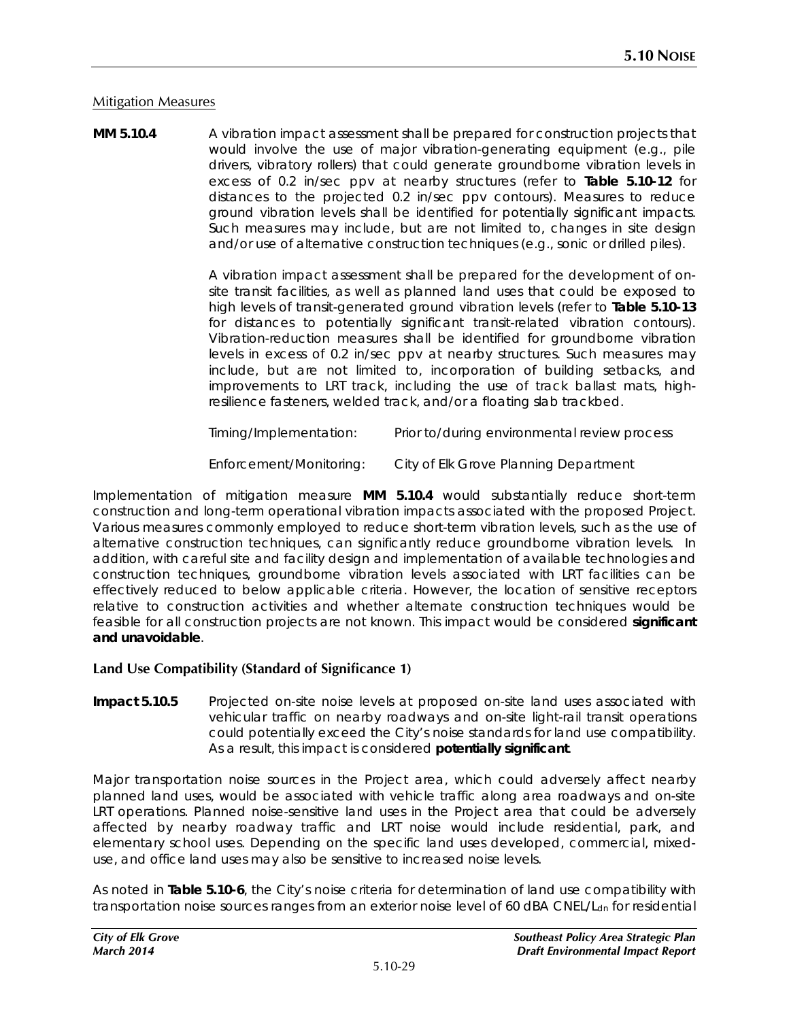### Mitigation Measures

**MM 5.10.4** A vibration impact assessment shall be prepared for construction projects that would involve the use of major vibration-generating equipment (e.g., pile drivers, vibratory rollers) that could generate groundborne vibration levels in excess of 0.2 in/sec ppv at nearby structures (refer to **Table 5.10-12** for distances to the projected 0.2 in/sec ppv contours). Measures to reduce ground vibration levels shall be identified for potentially significant impacts. Such measures may include, but are not limited to, changes in site design and/or use of alternative construction techniques (e.g., sonic or drilled piles).

> A vibration impact assessment shall be prepared for the development of onsite transit facilities, as well as planned land uses that could be exposed to high levels of transit-generated ground vibration levels (refer to **Table 5.10-13** for distances to potentially significant transit-related vibration contours). Vibration-reduction measures shall be identified for groundborne vibration levels in excess of 0.2 in/sec ppv at nearby structures. Such measures may include, but are not limited to, incorporation of building setbacks, and improvements to LRT track, including the use of track ballast mats, highresilience fasteners, welded track, and/or a floating slab trackbed.

*Timing/Implementation: Prior to/during environmental review process*

*Enforcement/Monitoring: City of Elk Grove Planning Department*

Implementation of mitigation measure **MM 5.10.4** would substantially reduce short-term construction and long-term operational vibration impacts associated with the proposed Project. Various measures commonly employed to reduce short-term vibration levels, such as the use of alternative construction techniques, can significantly reduce groundborne vibration levels. In addition, with careful site and facility design and implementation of available technologies and construction techniques, groundborne vibration levels associated with LRT facilities can be effectively reduced to below applicable criteria. However, the location of sensitive receptors relative to construction activities and whether alternate construction techniques would be feasible for all construction projects are not known. This impact would be considered **significant and unavoidable**.

### **Land Use Compatibility (Standard of Significance 1)**

**Impact 5.10.5** Projected on-site noise levels at proposed on-site land uses associated with vehicular traffic on nearby roadways and on-site light-rail transit operations could potentially exceed the City's noise standards for land use compatibility. As a result, this impact is considered **potentially significant**.

Major transportation noise sources in the Project area, which could adversely affect nearby planned land uses, would be associated with vehicle traffic along area roadways and on-site LRT operations. Planned noise-sensitive land uses in the Project area that could be adversely affected by nearby roadway traffic and LRT noise would include residential, park, and elementary school uses. Depending on the specific land uses developed, commercial, mixeduse, and office land uses may also be sensitive to increased noise levels.

As noted in **Table 5.10-6**, the City's noise criteria for determination of land use compatibility with transportation noise sources ranges from an exterior noise level of 60 dBA CNEL/L<sub>dn</sub> for residential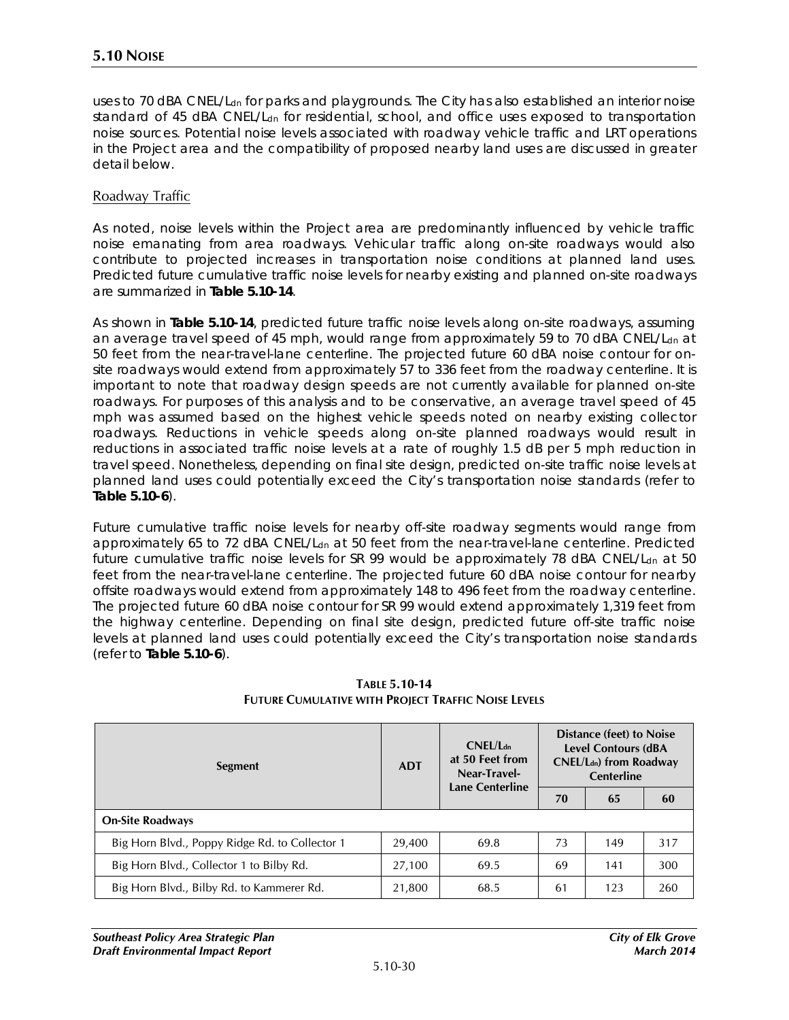uses to 70 dBA CNEL/L<sub>dn</sub> for parks and playgrounds. The City has also established an interior noise standard of 45 dBA CNEL/L<sub>dn</sub> for residential, school, and office uses exposed to transportation noise sources. Potential noise levels associated with roadway vehicle traffic and LRT operations in the Project area and the compatibility of proposed nearby land uses are discussed in greater detail below.

#### Roadway Traffic

As noted, noise levels within the Project area are predominantly influenced by vehicle traffic noise emanating from area roadways. Vehicular traffic along on-site roadways would also contribute to projected increases in transportation noise conditions at planned land uses. Predicted future cumulative traffic noise levels for nearby existing and planned on-site roadways are summarized in **Table 5.10-14**.

As shown in **Table 5.10-14**, predicted future traffic noise levels along on-site roadways, assuming an average travel speed of 45 mph, would range from approximately 59 to 70 dBA CNEL/Ldn at 50 feet from the near-travel-lane centerline. The projected future 60 dBA noise contour for onsite roadways would extend from approximately 57 to 336 feet from the roadway centerline. It is important to note that roadway design speeds are not currently available for planned on-site roadways. For purposes of this analysis and to be conservative, an average travel speed of 45 mph was assumed based on the highest vehicle speeds noted on nearby existing collector roadways. Reductions in vehicle speeds along on-site planned roadways would result in reductions in associated traffic noise levels at a rate of roughly 1.5 dB per 5 mph reduction in travel speed. Nonetheless, depending on final site design, predicted on-site traffic noise levels at planned land uses could potentially exceed the City's transportation noise standards (refer to **Table 5.10-6**).

Future cumulative traffic noise levels for nearby off-site roadway segments would range from approximately 65 to 72 dBA CNEL/L<sub>dn</sub> at 50 feet from the near-travel-lane centerline. Predicted future cumulative traffic noise levels for SR 99 would be approximately 78 dBA CNEL/Ldn at 50 feet from the near-travel-lane centerline. The projected future 60 dBA noise contour for nearby offsite roadways would extend from approximately 148 to 496 feet from the roadway centerline. The projected future 60 dBA noise contour for SR 99 would extend approximately 1,319 feet from the highway centerline. Depending on final site design, predicted future off-site traffic noise levels at planned land uses could potentially exceed the City's transportation noise standards (refer to **Table 5.10-6**).

| Segment                                        | <b>ADT</b> | $CNFI/I_{dn}$<br>at 50 Feet from<br>Near-Travel-<br><b>Lane Centerline</b> | Distance (feet) to Noise<br><b>Level Contours (dBA</b><br><b>CNEL/Ldn)</b> from Roadway<br><b>Centerline</b> |     |     |
|------------------------------------------------|------------|----------------------------------------------------------------------------|--------------------------------------------------------------------------------------------------------------|-----|-----|
|                                                |            |                                                                            | 70                                                                                                           | 65  | 60  |
| <b>On-Site Roadways</b>                        |            |                                                                            |                                                                                                              |     |     |
| Big Horn Blvd., Poppy Ridge Rd. to Collector 1 | 29,400     | 69.8                                                                       | 73                                                                                                           | 149 | 317 |
| Big Horn Blvd., Collector 1 to Bilby Rd.       | 27,100     | 69.5                                                                       | 69                                                                                                           | 141 | 300 |
| Big Horn Blvd., Bilby Rd. to Kammerer Rd.      | 21,800     | 68.5                                                                       | 61                                                                                                           | 123 | 260 |

**TABLE 5.10-14 FUTURE CUMULATIVE WITH PROJECT TRAFFIC NOISE LEVELS**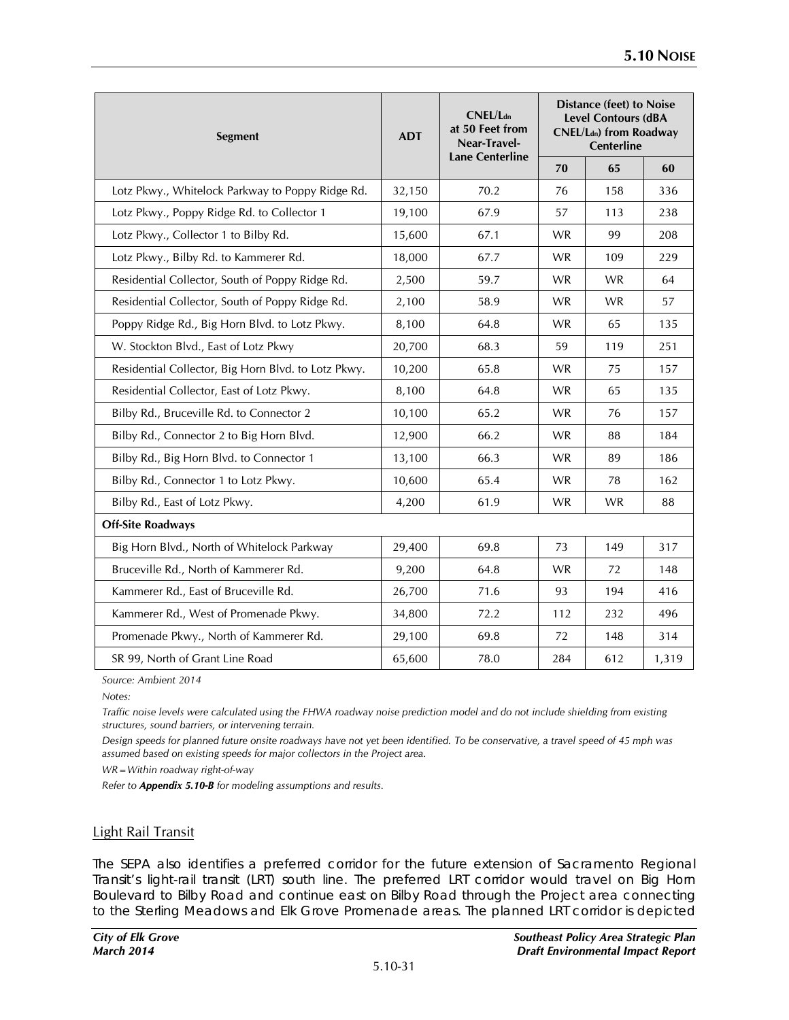| <b>Segment</b>                                      | <b>ADT</b> | CNEL/L <sub>dn</sub><br>at 50 Feet from<br>Near-Travel-<br><b>Lane Centerline</b> | <b>Distance (feet) to Noise</b><br><b>Level Contours (dBA</b><br><b>CNEL/Ldn)</b> from Roadway<br>Centerline |           |       |
|-----------------------------------------------------|------------|-----------------------------------------------------------------------------------|--------------------------------------------------------------------------------------------------------------|-----------|-------|
|                                                     |            |                                                                                   | 70                                                                                                           | 65        | 60    |
| Lotz Pkwy., Whitelock Parkway to Poppy Ridge Rd.    | 32,150     | 70.2                                                                              | 76                                                                                                           | 158       | 336   |
| Lotz Pkwy., Poppy Ridge Rd. to Collector 1          | 19,100     | 67.9                                                                              | 57                                                                                                           | 113       | 238   |
| Lotz Pkwy., Collector 1 to Bilby Rd.                | 15,600     | 67.1                                                                              | <b>WR</b>                                                                                                    | 99        | 208   |
| Lotz Pkwy., Bilby Rd. to Kammerer Rd.               | 18,000     | 67.7                                                                              | <b>WR</b>                                                                                                    | 109       | 229   |
| Residential Collector, South of Poppy Ridge Rd.     | 2,500      | 59.7                                                                              | <b>WR</b>                                                                                                    | <b>WR</b> | 64    |
| Residential Collector, South of Poppy Ridge Rd.     | 2,100      | 58.9                                                                              | <b>WR</b>                                                                                                    | <b>WR</b> | 57    |
| Poppy Ridge Rd., Big Horn Blvd. to Lotz Pkwy.       | 8,100      | 64.8                                                                              | <b>WR</b>                                                                                                    | 65        | 135   |
| W. Stockton Blvd., East of Lotz Pkwy                | 20,700     | 68.3                                                                              | 59                                                                                                           | 119       | 251   |
| Residential Collector, Big Horn Blvd. to Lotz Pkwy. | 10,200     | 65.8                                                                              | WR.                                                                                                          | 75        | 157   |
| Residential Collector, East of Lotz Pkwy.           | 8,100      | 64.8                                                                              | <b>WR</b>                                                                                                    | 65        | 135   |
| Bilby Rd., Bruceville Rd. to Connector 2            | 10,100     | 65.2                                                                              | <b>WR</b>                                                                                                    | 76        | 157   |
| Bilby Rd., Connector 2 to Big Horn Blvd.            | 12,900     | 66.2                                                                              | <b>WR</b>                                                                                                    | 88        | 184   |
| Bilby Rd., Big Horn Blvd. to Connector 1            | 13,100     | 66.3                                                                              | <b>WR</b>                                                                                                    | 89        | 186   |
| Bilby Rd., Connector 1 to Lotz Pkwy.                | 10,600     | 65.4                                                                              | <b>WR</b>                                                                                                    | 78        | 162   |
| Bilby Rd., East of Lotz Pkwy.                       | 4,200      | 61.9                                                                              | <b>WR</b>                                                                                                    | <b>WR</b> | 88    |
| <b>Off-Site Roadways</b>                            |            |                                                                                   |                                                                                                              |           |       |
| Big Horn Blvd., North of Whitelock Parkway          | 29,400     | 69.8                                                                              | 73                                                                                                           | 149       | 317   |
| Bruceville Rd., North of Kammerer Rd.               | 9,200      | 64.8                                                                              | <b>WR</b>                                                                                                    | 72        | 148   |
| Kammerer Rd., East of Bruceville Rd.                | 26,700     | 71.6                                                                              | 93                                                                                                           | 194       | 416   |
| Kammerer Rd., West of Promenade Pkwy.               | 34,800     | 72.2                                                                              | 112                                                                                                          | 232       | 496   |
| Promenade Pkwy., North of Kammerer Rd.              | 29,100     | 69.8                                                                              | 72                                                                                                           | 148       | 314   |
| SR 99, North of Grant Line Road                     | 65,600     | 78.0                                                                              | 284                                                                                                          | 612       | 1,319 |

*Source: Ambient 2014*

*Notes:*

*Traffic noise levels were calculated using the FHWA roadway noise prediction model and do not include shielding from existing structures, sound barriers, or intervening terrain.*

*Design speeds for planned future onsite roadways have not yet been identified. To be conservative, a travel speed of 45 mph was assumed based on existing speeds for major collectors in the Project area.* 

*WR=Within roadway right-of-way*

*Refer to Appendix 5.10-B for modeling assumptions and results.*

### Light Rail Transit

The SEPA also identifies a preferred corridor for the future extension of Sacramento Regional Transit's light-rail transit (LRT) south line. The preferred LRT corridor would travel on Big Horn Boulevard to Bilby Road and continue east on Bilby Road through the Project area connecting to the Sterling Meadows and Elk Grove Promenade areas. The planned LRT corridor is depicted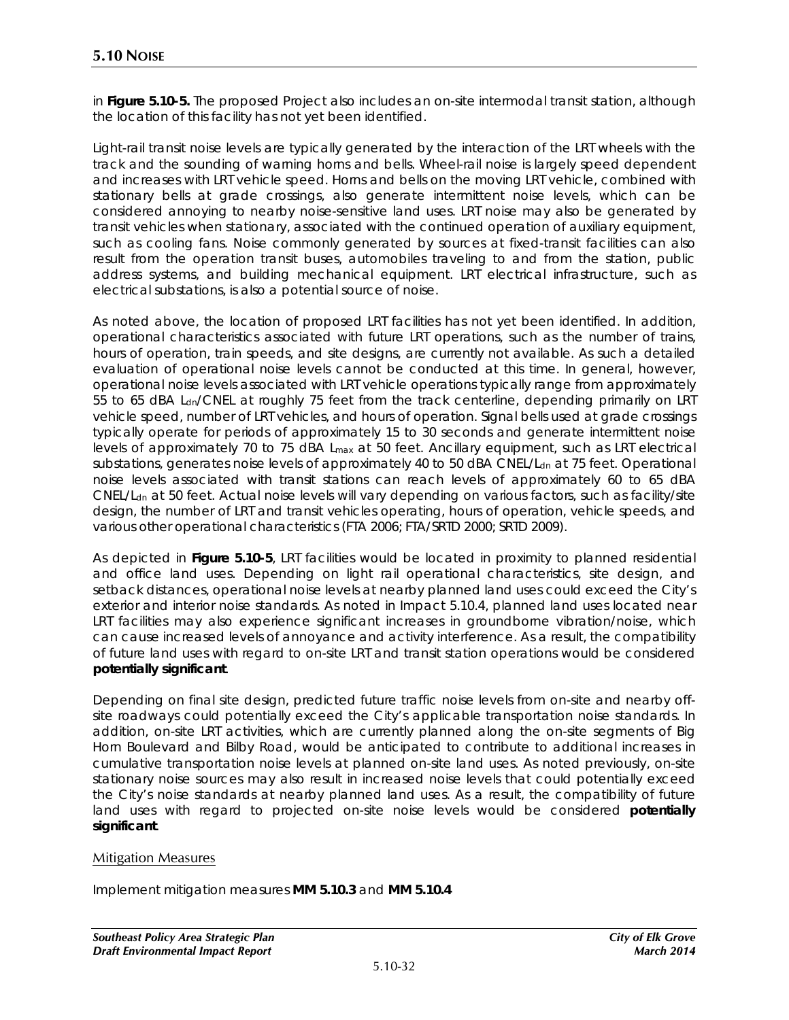in **Figure 5.10-5.** The proposed Project also includes an on-site intermodal transit station, although the location of this facility has not yet been identified.

Light-rail transit noise levels are typically generated by the interaction of the LRT wheels with the track and the sounding of warning horns and bells. Wheel-rail noise is largely speed dependent and increases with LRT vehicle speed. Horns and bells on the moving LRT vehicle, combined with stationary bells at grade crossings, also generate intermittent noise levels, which can be considered annoying to nearby noise-sensitive land uses. LRT noise may also be generated by transit vehicles when stationary, associated with the continued operation of auxiliary equipment, such as cooling fans. Noise commonly generated by sources at fixed-transit facilities can also result from the operation transit buses, automobiles traveling to and from the station, public address systems, and building mechanical equipment. LRT electrical infrastructure, such as electrical substations, is also a potential source of noise.

As noted above, the location of proposed LRT facilities has not yet been identified. In addition, operational characteristics associated with future LRT operations, such as the number of trains, hours of operation, train speeds, and site designs, are currently not available. As such a detailed evaluation of operational noise levels cannot be conducted at this time. In general, however, operational noise levels associated with LRT vehicle operations typically range from approximately 55 to 65 dBA L<sub>dn</sub>/CNEL at roughly 75 feet from the track centerline, depending primarily on LRT vehicle speed, number of LRT vehicles, and hours of operation. Signal bells used at grade crossings typically operate for periods of approximately 15 to 30 seconds and generate intermittent noise levels of approximately 70 to 75 dBA Lmax at 50 feet. Ancillary equipment, such as LRT electrical substations, generates noise levels of approximately 40 to 50 dBA CNEL/L<sub>dn</sub> at 75 feet. Operational noise levels associated with transit stations can reach levels of approximately 60 to 65 dBA CNEL/Ldn at 50 feet. Actual noise levels will vary depending on various factors, such as facility/site design, the number of LRT and transit vehicles operating, hours of operation, vehicle speeds, and various other operational characteristics (FTA 2006; FTA/SRTD 2000; SRTD 2009).

As depicted in **Figure 5.10-5**, LRT facilities would be located in proximity to planned residential and office land uses. Depending on light rail operational characteristics, site design, and setback distances, operational noise levels at nearby planned land uses could exceed the City's exterior and interior noise standards. As noted in Impact 5.10.4, planned land uses located near LRT facilities may also experience significant increases in groundborne vibration/noise, which can cause increased levels of annoyance and activity interference. As a result, the compatibility of future land uses with regard to on-site LRT and transit station operations would be considered **potentially significant**.

Depending on final site design, predicted future traffic noise levels from on-site and nearby offsite roadways could potentially exceed the City's applicable transportation noise standards. In addition, on-site LRT activities, which are currently planned along the on-site segments of Big Horn Boulevard and Bilby Road, would be anticipated to contribute to additional increases in cumulative transportation noise levels at planned on-site land uses. As noted previously, on-site stationary noise sources may also result in increased noise levels that could potentially exceed the City's noise standards at nearby planned land uses. As a result, the compatibility of future land uses with regard to projected on-site noise levels would be considered **potentially significant**.

#### Mitigation Measures

Implement mitigation measures **MM 5.10.3** and **MM 5.10.4**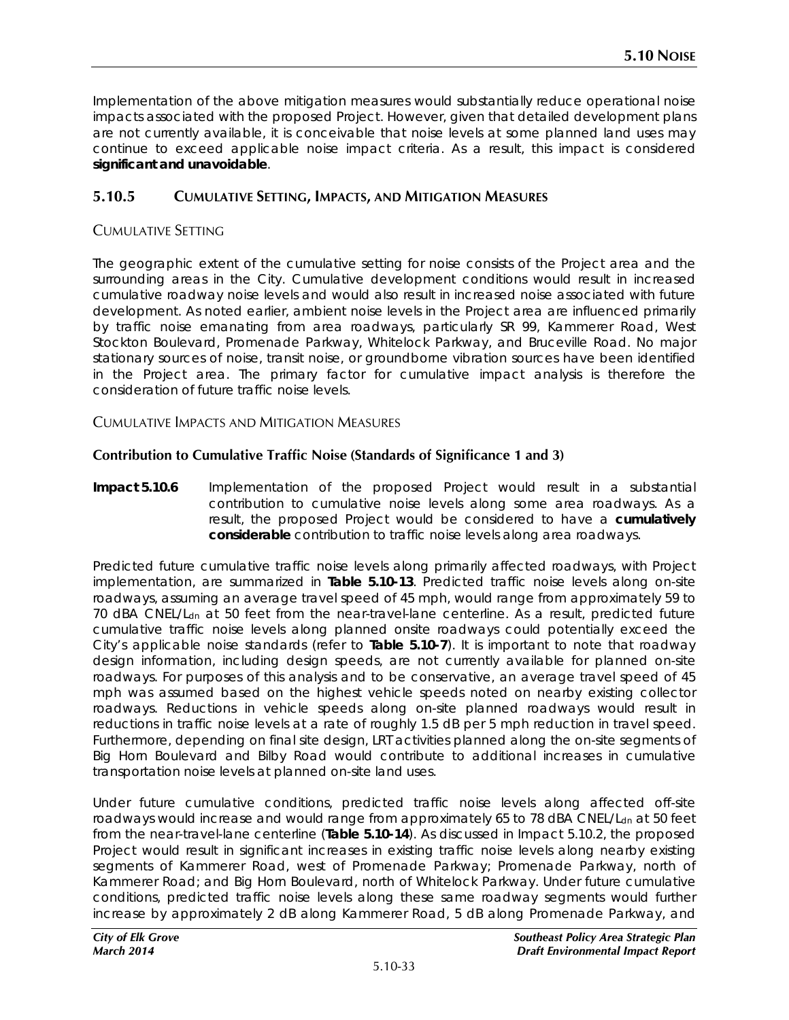Implementation of the above mitigation measures would substantially reduce operational noise impacts associated with the proposed Project. However, given that detailed development plans are not currently available, it is conceivable that noise levels at some planned land uses may continue to exceed applicable noise impact criteria. As a result, this impact is considered **significant and unavoidable**.

# **5.10.5 CUMULATIVE SETTING, IMPACTS, AND MITIGATION MEASURES**

# CUMULATIVE SETTING

The geographic extent of the cumulative setting for noise consists of the Project area and the surrounding areas in the City. Cumulative development conditions would result in increased cumulative roadway noise levels and would also result in increased noise associated with future development. As noted earlier, ambient noise levels in the Project area are influenced primarily by traffic noise emanating from area roadways, particularly SR 99, Kammerer Road, West Stockton Boulevard, Promenade Parkway, Whitelock Parkway, and Bruceville Road. No major stationary sources of noise, transit noise, or groundborne vibration sources have been identified in the Project area. The primary factor for cumulative impact analysis is therefore the consideration of future traffic noise levels.

CUMULATIVE IMPACTS AND MITIGATION MEASURES

# **Contribution to Cumulative Traffic Noise (Standards of Significance 1 and 3)**

**Impact 5.10.6** Implementation of the proposed Project would result in a substantial contribution to cumulative noise levels along some area roadways. As a result, the proposed Project would be considered to have a **cumulatively considerable** contribution to traffic noise levels along area roadways.

Predicted future cumulative traffic noise levels along primarily affected roadways, with Project implementation, are summarized in **Table 5.10-13**. Predicted traffic noise levels along on-site roadways, assuming an average travel speed of 45 mph, would range from approximately 59 to 70 dBA CNEL/L<sub>dn</sub> at 50 feet from the near-travel-lane centerline. As a result, predicted future cumulative traffic noise levels along planned onsite roadways could potentially exceed the City's applicable noise standards (refer to **Table 5.10-7**). It is important to note that roadway design information, including design speeds, are not currently available for planned on-site roadways. For purposes of this analysis and to be conservative, an average travel speed of 45 mph was assumed based on the highest vehicle speeds noted on nearby existing collector roadways. Reductions in vehicle speeds along on-site planned roadways would result in reductions in traffic noise levels at a rate of roughly 1.5 dB per 5 mph reduction in travel speed. Furthermore, depending on final site design, LRT activities planned along the on-site segments of Big Horn Boulevard and Bilby Road would contribute to additional increases in cumulative transportation noise levels at planned on-site land uses.

Under future cumulative conditions, predicted traffic noise levels along affected off-site roadways would increase and would range from approximately 65 to 78 dBA CNEL/L<sub>dn</sub> at 50 feet from the near-travel-lane centerline (**Table 5.10-14**). As discussed in Impact 5.10.2, the proposed Project would result in significant increases in existing traffic noise levels along nearby existing segments of Kammerer Road, west of Promenade Parkway; Promenade Parkway, north of Kammerer Road; and Big Horn Boulevard, north of Whitelock Parkway. Under future cumulative conditions, predicted traffic noise levels along these same roadway segments would further increase by approximately 2 dB along Kammerer Road, 5 dB along Promenade Parkway, and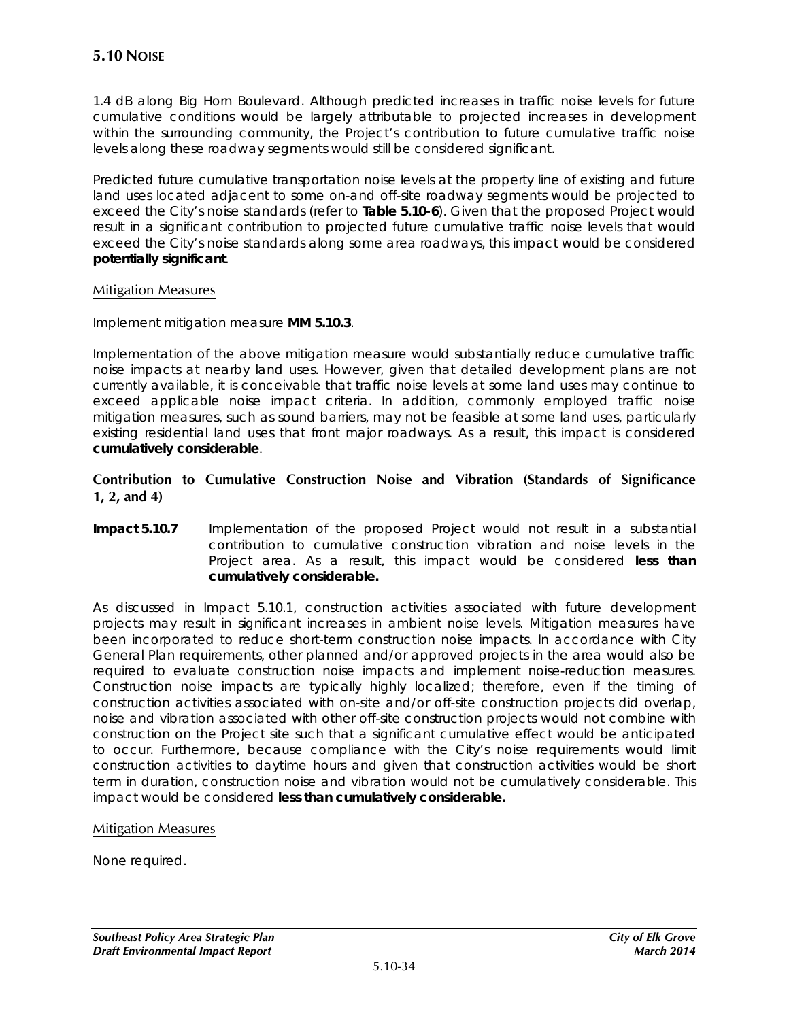1.4 dB along Big Horn Boulevard. Although predicted increases in traffic noise levels for future cumulative conditions would be largely attributable to projected increases in development within the surrounding community, the Project's contribution to future cumulative traffic noise levels along these roadway segments would still be considered significant.

Predicted future cumulative transportation noise levels at the property line of existing and future land uses located adjacent to some on-and off-site roadway segments would be projected to exceed the City's noise standards (refer to **Table 5.10-6**). Given that the proposed Project would result in a significant contribution to projected future cumulative traffic noise levels that would exceed the City's noise standards along some area roadways, this impact would be considered **potentially significant**.

#### Mitigation Measures

Implement mitigation measure **MM 5.10.3**.

Implementation of the above mitigation measure would substantially reduce cumulative traffic noise impacts at nearby land uses. However, given that detailed development plans are not currently available, it is conceivable that traffic noise levels at some land uses may continue to exceed applicable noise impact criteria. In addition, commonly employed traffic noise mitigation measures, such as sound barriers, may not be feasible at some land uses, particularly existing residential land uses that front major roadways. As a result, this impact is considered **cumulatively considerable**.

#### **Contribution to Cumulative Construction Noise and Vibration (Standards of Significance 1, 2, and 4)**

**Impact 5.10.7** Implementation of the proposed Project would not result in a substantial contribution to cumulative construction vibration and noise levels in the Project area. As a result, this impact would be considered **less than cumulatively considerable.** 

As discussed in Impact 5.10.1, construction activities associated with future development projects may result in significant increases in ambient noise levels. Mitigation measures have been incorporated to reduce short-term construction noise impacts. In accordance with City General Plan requirements, other planned and/or approved projects in the area would also be required to evaluate construction noise impacts and implement noise-reduction measures. Construction noise impacts are typically highly localized; therefore, even if the timing of construction activities associated with on-site and/or off-site construction projects did overlap, noise and vibration associated with other off-site construction projects would not combine with construction on the Project site such that a significant cumulative effect would be anticipated to occur. Furthermore, because compliance with the City's noise requirements would limit construction activities to daytime hours and given that construction activities would be short term in duration, construction noise and vibration would not be cumulatively considerable. This impact would be considered **less than cumulatively considerable.** 

#### Mitigation Measures

None required.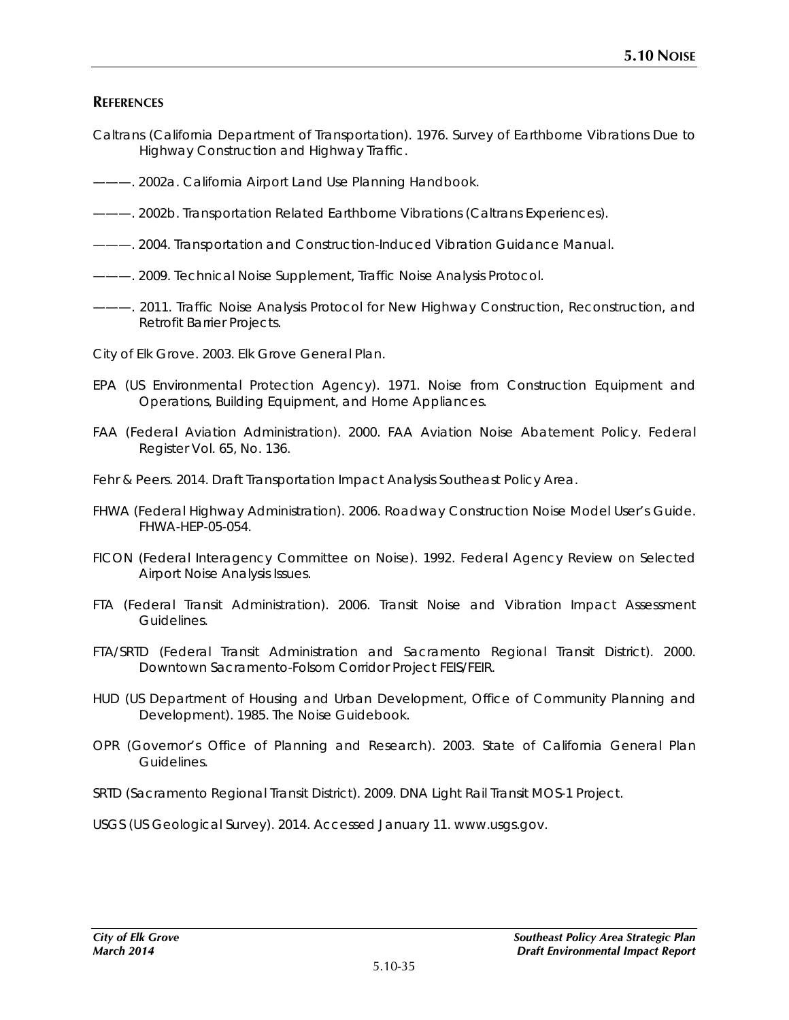# **REFERENCES**

- Caltrans (California Department of Transportation). 1976. *Survey of Earthborne Vibrations Due to Highway Construction and Highway Traffic.*
- ———. 2002a. *California Airport Land Use Planning Handbook.*
- ———. 2002b. *Transportation Related Earthborne Vibrations (Caltrans Experiences).*
- ———. 2004. *Transportation and Construction-Induced Vibration Guidance Manual*.
- ———. 2009. *Technical Noise Supplement, Traffic Noise Analysis Protocol.*
- ———. 2011. *Traffic Noise Analysis Protocol for New Highway Construction, Reconstruction, and Retrofit Barrier Projects.*

City of Elk Grove. 2003. *Elk Grove General Plan*.

- EPA (US Environmental Protection Agency). 1971. *Noise from Construction Equipment and Operations, Building Equipment, and Home Appliances.*
- FAA (Federal Aviation Administration). 2000. FAA Aviation Noise Abatement Policy. Federal Register Vol. 65, No. 136.
- Fehr & Peers. 2014. *Draft Transportation Impact Analysis Southeast Policy Area.*
- FHWA (Federal Highway Administration). 2006. *Roadway Construction Noise Model User's Guide*. FHWA-HEP-05-054.
- FICON (Federal Interagency Committee on Noise). 1992. *Federal Agency Review on Selected Airport Noise Analysis Issues.*
- FTA (Federal Transit Administration). 2006. *Transit Noise and Vibration Impact Assessment Guidelines.*
- FTA/SRTD (Federal Transit Administration and Sacramento Regional Transit District). 2000. *Downtown Sacramento-Folsom Corridor Project FEIS/FEIR.*
- HUD (US Department of Housing and Urban Development, Office of Community Planning and Development). 1985. *The Noise Guidebook.*
- OPR (Governor's Office of Planning and Research). 2003. *State of California General Plan Guidelines.*
- SRTD (Sacramento Regional Transit District). 2009. *DNA Light Rail Transit MOS-1 Project.*

USGS (US Geological Survey). 2014. Accessed January 11. www.usgs.gov.